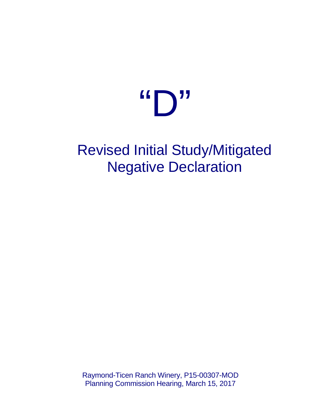# $\mathbf{G} \bigcap \mathbf{U}$

# Revised Initial Study/Mitigated Negative Declaration

Raymond-Ticen Ranch Winery, P15-00307-MOD Planning Commission Hearing, March 15, 2017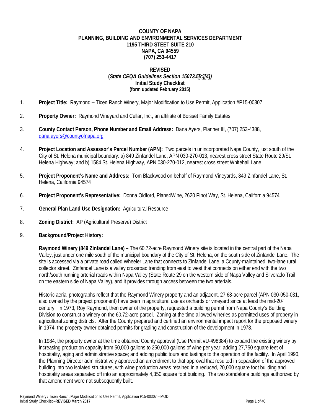### **COUNTY OF NAPA PLANNING, BUILDING AND ENVIRONMENTAL SERVICES DEPARTMENT 1195 THIRD STEET SUITE 210 NAPA, CA 94559 (707) 253-4417**

### **REVISED (***State CEQA Guidelines Section 15073.5[c][4])* **Initial Study Checklist (form updated February 2015)**

- 1. **Project Title:** Raymond Ticen Ranch Winery, Major Modification to Use Permit, Application #P15-00307
- 2. **Property Owner:** Raymond Vineyard and Cellar, Inc., an affiliate of Boisset Family Estates
- 3. **County Contact Person, Phone Number and Email Address:** Dana Ayers, Planner III, (707) 253-4388, dana.ayers@countyofnapa.org
- 4. **Project Location and Assessor's Parcel Number (APN):** Two parcels in unincorporated Napa County, just south of the City of St. Helena municipal boundary: a) 849 Zinfandel Lane, APN 030-270-013, nearest cross street State Route 29/St. Helena Highway; and b) 1584 St. Helena Highway, APN 030-270-012, nearest cross street Whitehall Lane
- 5. **Project Proponent's Name and Address:** Tom Blackwood on behalf of Raymond Vineyards, 849 Zinfandel Lane, St. Helena, California 94574
- 6. **Project Proponent's Representative:** Donna Oldford, Plans4Wine, 2620 Pinot Way, St. Helena, California 94574
- 7. **General Plan Land Use Designation:** Agricultural Resource
- 8. **Zoning District:** AP (Agricultural Preserve) District
- 9. **Background/Project History:**

**Raymond Winery (849 Zinfandel Lane) –** The 60.72-acre Raymond Winery site is located in the central part of the Napa Valley, just under one mile south of the municipal boundary of the City of St. Helena, on the south side of Zinfandel Lane. The site is accessed via a private road called Wheeler Lane that connects to Zinfandel Lane, a County-maintained, two-lane rural collector street. Zinfandel Lane is a valley crossroad trending from east to west that connects on either end with the two north/south running arterial roads within Napa Valley (State Route 29 on the western side of Napa Valley and Silverado Trail on the eastern side of Napa Valley), and it provides through access between the two arterials.

Historic aerial photographs reflect that the Raymond Winery property and an adjacent, 27.68-acre parcel (APN 030-050-031, also owned by the project proponent) have been in agricultural use as orchards or vineyard since at least the mid-20<sup>th</sup> century. In 1973, Roy Raymond, then owner of the property, requested a building permit from Napa County's Building Division to construct a winery on the 60.72-acre parcel. Zoning at the time allowed wineries as permitted uses of property in agricultural zoning districts. After the County prepared and certified an environmental impact report for the proposed winery in 1974, the property owner obtained permits for grading and construction of the development in 1978.

In 1984, the property owner at the time obtained County approval (Use Permit #U-498384) to expand the existing winery by increasing production capacity from 50,000 gallons to 250,000 gallons of wine per year; adding 27,750 square feet of hospitality, aging and administrative space; and adding public tours and tastings to the operation of the facility. In April 1990, the Planning Director administratively approved an amendment to that approval that resulted in separation of the approved building into two isolated structures, with wine production areas retained in a reduced, 20,000 square foot building and hospitality areas separated off into an approximately 4,350 square foot building. The two standalone buildings authorized by that amendment were not subsequently built.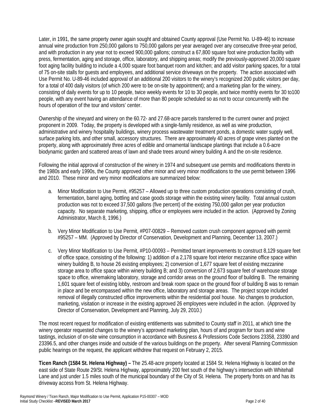Later, in 1991, the same property owner again sought and obtained County approval (Use Permit No. U-89-46) to increase annual wine production from 250,000 gallons to 750,000 gallons per year averaged over any consecutive three-year period, and with production in any year not to exceed 900,000 gallons; construct a 67,800 square foot wine production facility with press, fermentation, aging and storage, office, laboratory, and shipping areas; modify the previously-approved 20,000 square foot aging facility building to include a 4,000 square foot banquet room and kitchen; and add visitor parking spaces, for a total of 75 on-site stalls for guests and employees, and additional service driveways on the property. The action associated with Use Permit No. U-89-46 included approval of an additional 200 visitors to the winery's recognized 200 public visitors per day, for a total of 400 daily visitors (of which 200 were to be on-site by appointment); and a marketing plan for the winery, consisting of daily events for up to 10 people, twice weekly events for 10 to 30 people, and twice monthly events for 30 to100 people, with any event having an attendance of more than 80 people scheduled so as not to occur concurrently with the hours of operation of the tour and visitors' center.

Ownership of the vineyard and winery on the 60.72- and 27.68-acre parcels transferred to the current owner and project proponent in 2009. Today, the property is developed with a single-family residence, as well as wine production, administrative and winery hospitality buildings, winery process wastewater treatment ponds, a domestic water supply well, surface parking lots, and other small, accessory structures. There are approximately 40 acres of grape vines planted on the property, along with approximately three acres of edible and ornamental landscape plantings that include a 0.6-acre biodynamic garden and scattered areas of lawn and shade trees around winery building A and the on-site residence.

Following the initial approval of construction of the winery in 1974 and subsequent use permits and modifications thereto in the 1980s and early 1990s, the County approved other minor and very minor modifications to the use permit between 1996 and 2010. These minor and very minor modifications are summarized below:

- a. Minor Modification to Use Permit, #95257 Allowed up to three custom production operations consisting of crush, fermentation, barrel aging, bottling and case goods storage within the existing winery facility. Total annual custom production was not to exceed 37,500 gallons (five percent) of the existing 750,000 gallon per year production capacity. No separate marketing, shipping, office or employees were included in the action. (Approved by Zoning Administrator, March 8, 1996.)
- b. Very Minor Modification to Use Permit, #P07-00829 Removed custom crush component approved with permit #95257 – MM. (Approved by Director of Conservation, Development and Planning, December 13, 2007.)
- c. Very Minor Modification to Use Permit, #P10-00093 Permitted tenant improvements to construct 8,129 square feet of office space, consisting of the following: 1) addition of a 2,178 square foot interior mezzanine office space within winery building B, to house 26 existing employees; 2) conversion of 1,677 square feet of existing mezzanine storage area to office space within winery building B; and 3) conversion of 2,673 square feet of warehouse storage space to office, winemaking laboratory, storage and corridor areas on the ground floor of building B. The remaining 1,601 square feet of existing lobby, restroom and break room space on the ground floor of building B was to remain in place and be encompassed within the new office, laboratory and storage areas. The project scope included removal of illegally constructed office improvements within the residential pool house. No changes to production, marketing, visitation or increase in the existing approved 26 employees were included in the action. (Approved by Director of Conservation, Development and Planning, July 29, 2010.)

The most recent request for modification of existing entitlements was submitted to County staff in 2011, at which time the winery operator requested changes to the winery's approved marketing plan, hours of and program for tours and wine tastings, inclusion of on-site wine consumption in accordance with Business & Professions Code Sections 23358, 23390 and 23396.5, and other changes inside and outside of the various buildings on the property. After several Planning Commission public hearings on the request, the applicant withdrew that request on February 2, 2015.

**Ticen Ranch (1584 St. Helena Highway) –** The 25.48-acre property located at 1584 St. Helena Highway is located on the east side of State Route 29/St. Helena Highway, approximately 200 feet south of the highway's intersection with Whitehall Lane and just under 1.5 miles south of the municipal boundary of the City of St. Helena. The property fronts on and has its driveway access from St. Helena Highway.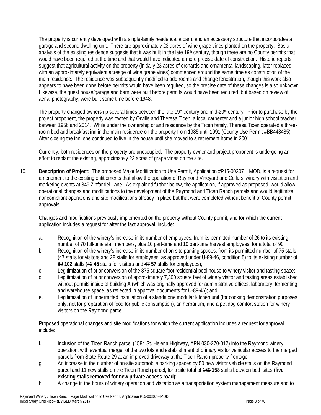The property is currently developed with a single-family residence, a barn, and an accessory structure that incorporates a garage and second dwelling unit. There are approximately 23 acres of wine grape vines planted on the property. Basic analysis of the existing residence suggests that it was built in the late  $19<sup>th</sup>$  century, though there are no County permits that would have been required at the time and that would have indicated a more precise date of construction. Historic reports suggest that agricultural activity on the property (initially 23 acres of orchards and ornamental landscaping, later replaced with an approximately equivalent acreage of wine grape vines) commenced around the same time as construction of the main residence. The residence was subsequently modified to add rooms and change fenestration, though this work also appears to have been done before permits would have been required, so the precise date of these changes is also unknown. Likewise, the guest house/garage and barn were built before permits would have been required, but based on review of aerial photography, were built some time before 1948.

The property changed ownership several times between the late 19<sup>th</sup> century and mid-20<sup>th</sup> century. Prior to purchase by the project proponent, the property was owned by Orville and Theresa Ticen, a local carpenter and a junior high school teacher, between 1956 and 2014. While under the ownership of and residence by the Ticen family, Theresa Ticen operated a threeroom bed and breakfast inn in the main residence on the property from 1985 until 1991 (County Use Permit #BB448485). After closing the inn, she continued to live in the house until she moved to a retirement home in 2001.

Currently, both residences on the property are unoccupied. The property owner and project proponent is undergoing an effort to replant the existing, approximately 23 acres of grape vines on the site.

10. **Description of Project:** The proposed Major Modification to Use Permit, Application #P15-00307 – MOD, is a request for amendment to the existing entitlements that allow the operation of Raymond Vineyard and Cellars' winery with visitation and marketing events at 849 Zinfandel Lane. As explained further below, the application, if approved as proposed, would allow operational changes and modifications to the development of the Raymond and Ticen Ranch parcels and would legitimize noncompliant operations and site modifications already in place but that were completed without benefit of County permit approvals.

Changes and modifications previously implemented on the property without County permit, and for which the current application includes a request for after the fact approval, include:

- a. Recognition of the winery's increase in its number of employees, from its permitted number of 26 to its existing number of 70 full-time staff members, plus 10 part-time and 10 part-time harvest employees, for a total of 90;
- b. Recognition of the winery's increase in its number of on-site parking spaces, from its permitted number of 75 stalls (47 stalls for visitors and 28 stalls for employees, as approved under U-89-46, condition 5) to its existing number of 89 **102** stalls (42 **45** stalls for visitors and 47 **57** stalls for employees);
- c. Legitimization of prior conversion of the 875 square foot residential pool house to winery visitor and tasting space;
- d. Legitimization of prior conversion of approximately 7,300 square feet of winery visitor and tasting areas established without permits inside of building A (which was originally approved for administrative offices, laboratory, fermenting and warehouse space, as reflected in approval documents for U-89-46); and
- e. Legitimization of unpermitted installation of a standalone modular kitchen unit (for cooking demonstration purposes only, not for preparation of food for public consumption), an herbarium, and a pet dog comfort station for winery visitors on the Raymond parcel.

Proposed operational changes and site modifications for which the current application includes a request for approval include:

- f. Inclusion of the Ticen Ranch parcel (1584 St. Helena Highway, APN 030-270-012) into the Raymond winery operation, with eventual merger of the two lots and establishment of primary visitor vehicular access to the merged parcels from State Route 29 at an improved driveway at the Ticen Ranch property frontage;
- g. An increase in the number of on-site automobile parking spaces by 50 new visitor vehicle stalls on the Raymond parcel and 11 new stalls on the Ticen Ranch parcel, for a site total of 150 **158** stalls between both sites **(five existing stalls removed for new private access road)**;
- h. A change in the hours of winery operation and visitation as a transportation system management measure and to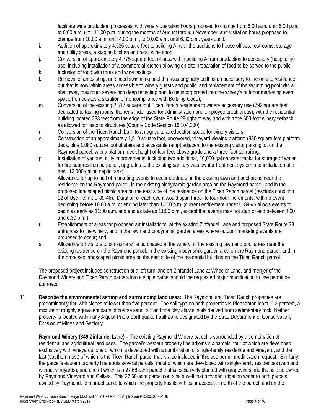facilitate wine production processes, with winery operation hours proposed to change from 6:00 a.m. until 6:00 p.m., to 6:00 a.m. until 11:00 p.m. during the months of August through November, and visitation hours proposed to change from 10:00 a.m. until 4:00 p.m., to 10:00 a.m. until 6:30 p.m. year-round;

- i. Addition of approximately 4,635 square feet to building A, with the additions to house offices, restrooms, storage and utility areas, a staging kitchen and retail wine shop;
- j. Conversion of approximately 4,775 square feet of area within building A from production to accessory (hospitality) use, including installation of a commercial kitchen allowing on-site preparation of food to be served to the public;
- k. Inclusion of food with tours and wine tastings;
- l. Removal of an existing, unfenced swimming pool that was originally built as an accessory to the on-site residence but that is now within areas accessible to winery guests and public, and replacement of the swimming pool with a shallower, maximum seven-inch deep reflecting pool to be incorporated into the winery's outdoor marketing event space (remediates a situation of noncompliance with Building Code);
- m. Conversion of the existing 2,517 square foot Ticen Ranch residence to winery accessory use (792 square feet dedicated to tasting rooms, the remainder used for administration and employee break areas), with the residential building located 333 feet from the edge of the State Route 29 right-of-way and within the 600-foot winery setback, as allowed for historic structures (County Code Section 18.104.230);
- n. Conversion of the Ticen Ranch barn to an agricultural education space for winery visitors;
- o. Construction of an approximately 1,910 square foot, uncovered, vineyard viewing platform (830 square foot platform deck, plus 1,080 square foot of stairs and accessible ramp) adjacent to the existing visitor parking lot on the Raymond parcel, with a platform deck height of four feet above grade and a three-foot tall railing;
- p. Installation of various utility improvements, including two additional, 10,000-gallon water tanks for storage of water for fire suppression purposes, upgrades to the existing sanitary wastewater treatment system and installation of a new, 12,000-gallon septic tank;
- q. Allowance for up to half of marketing events to occur outdoors, in the existing lawn and pool areas near the residence on the Raymond parcel, in the existing biodynamic garden area on the Raymond parcel, and in the proposed landscaped picnic area on the east side of the residence on the Ticen Ranch parcel (rescinds condition 12 of Use Permit U-89-46). Duration of each event would span three- to four-hour increments, with no event beginning before 10:00 a.m. or ending later than 10:00 p.m. (current entitlement under U-89-46 allows events to begin as early as 11:00 a.m. and end as late as 11:00 p.m., except that events may not start or end between 4:00 and 6:30 p.m.);
- r. Establishment of areas for proposed art installations, at the existing Zinfandel Lane and proposed State Route 29 entrances to the winery, and in the lawn and biodynamic garden areas where outdoor marketing events are proposed to occur; and
- s. Allowance for visitors to consume wine purchased at the winery, in the existing lawn and pool areas near the existing residence on the Raymond parcel, in the existing biodynamic garden area on the Raymond parcel, and in the proposed landscaped picnic area on the east side of the residential building on the Ticen Ranch parcel.

The proposed project includes construction of a left turn lane on Zinfandel Lane at Wheeler Lane, and merger of the Raymond Winery and Ticen Ranch parcels into a single parcel should the requested major modification to use permit be approved.

11. **Describe the environmental setting and surrounding land uses:** The Raymond and Ticen Ranch properties are predominantly flat, with slopes of fewer than five percent. The soil type on both properties is Pleasanton loam, 0-2 percent, a mixture of roughly equivalent parts of coarse sand, silt and fine clay alluvial soils derived from sedimentary rock. Neither property is located within any Alquist-Priolo Earthquake Fault Zone designated by the State Department of Conservation, Division of Mines and Geology.

**Raymond Winery (849 Zinfandel Lane) –** The existing Raymond Winery parcel is surrounded by a combination of residential and agricultural land uses. The parcel's western property line adjoins six parcels, four of which are developed exclusively with vineyards, one of which is developed with a combination of single-family residence and vineyard, and the last (southernmost) of which is the Ticen Ranch parcel that is also included in this use permit modification request. Similarly, the parcel's eastern property line abuts several parcels, most of which are developed with single-family residences (with and without vineyards), and one of which is a 27.68-acre parcel that is exclusively planted with grapevines and that is also owned by Raymond Vineyard and Cellars. This 27.68-acre parcel contains a well that provides irrigation water to both parcels owned by Raymond. Zinfandel Lane, to which the property has its vehicular access, is north of the parcel, and on the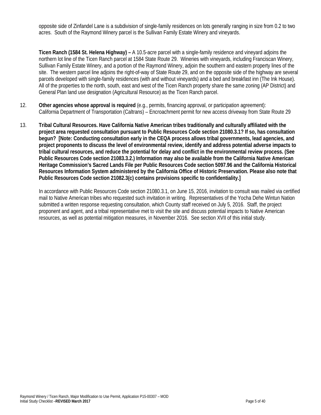opposite side of Zinfandel Lane is a subdivision of single-family residences on lots generally ranging in size from 0.2 to two acres. South of the Raymond Winery parcel is the Sullivan Family Estate Winery and vineyards.

**Ticen Ranch (1584 St. Helena Highway) –** A 10.5-acre parcel with a single-family residence and vineyard adjoins the northern lot line of the Ticen Ranch parcel at 1584 State Route 29. Wineries with vineyards, including Franciscan Winery, Sullivan Family Estate Winery, and a portion of the Raymond Winery, adjoin the southern and eastern property lines of the site. The western parcel line adjoins the right-of-way of State Route 29, and on the opposite side of the highway are several parcels developed with single-family residences (with and without vineyards) and a bed and breakfast inn (The Ink House). All of the properties to the north, south, east and west of the Ticen Ranch property share the same zoning (AP District) and General Plan land use designation (Agricultural Resource) as the Ticen Ranch parcel.

- 12. **Other agencies whose approval is required** (e.g., permits, financing approval, or participation agreement): California Department of Transportation (Caltrans) – Encroachment permit for new access driveway from State Route 29
- 13. **Tribal Cultural Resources. Have California Native American tribes traditionally and culturally affiliated with the project area requested consultation pursuant to Public Resources Code section 21080.3.1? If so, has consultation begun? [Note: Conducting consultation early in the CEQA process allows tribal governments, lead agencies, and project proponents to discuss the level of environmental review, identify and address potential adverse impacts to tribal cultural resources, and reduce the potential for delay and conflict in the environmental review process. (See Public Resources Code section 21083.3.2.) Information may also be available from the California Native American Heritage Commission's Sacred Lands File per Public Resources Code section 5097.96 and the California Historical Resources Information System administered by the California Office of Historic Preservation. Please also note that Public Resources Code section 21082.3(c) contains provisions specific to confidentiality.]**

In accordance with Public Resources Code section 21080.3.1, on June 15, 2016, invitation to consult was mailed via certified mail to Native American tribes who requested such invitation in writing. Representatives of the Yocha Dehe Wintun Nation submitted a written response requesting consultation, which County staff received on July 5, 2016. Staff, the project proponent and agent, and a tribal representative met to visit the site and discuss potential impacts to Native American resources, as well as potential mitigation measures, in November 2016. See section XVII of this initial study.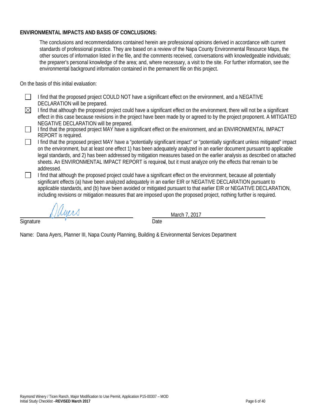# **ENVIRONMENTAL IMPACTS AND BASIS OF CONCLUSIONS:**

The conclusions and recommendations contained herein are professional opinions derived in accordance with current standards of professional practice. They are based on a review of the Napa County Environmental Resource Maps, the other sources of information listed in the file, and the comments received, conversations with knowledgeable individuals; the preparer's personal knowledge of the area; and, where necessary, a visit to the site. For further information, see the environmental background information contained in the permanent file on this project.

On the basis of this initial evaluation:

- $\Box$ I find that the proposed project COULD NOT have a significant effect on the environment, and a NEGATIVE DECLARATION will be prepared.
- $\boxtimes$ I find that although the proposed project could have a significant effect on the environment, there will not be a significant effect in this case because revisions in the project have been made by or agreed to by the project proponent. A MITIGATED NEGATIVE DECLARATION will be prepared.
- $\Box$ I find that the proposed project MAY have a significant effect on the environment, and an ENVIRONMENTAL IMPACT REPORT is required.
- I find that the proposed project MAY have a "potentially significant impact" or "potentially significant unless mitigated" impact  $\perp$ on the environment, but at least one effect 1) has been adequately analyzed in an earlier document pursuant to applicable legal standards, and 2) has been addressed by mitigation measures based on the earlier analysis as described on attached sheets. An ENVIRONMENTAL IMPACT REPORT is required, but it must analyze only the effects that remain to be addressed.
- П I find that although the proposed project could have a significant effect on the environment, because all potentially significant effects (a) have been analyzed adequately in an earlier EIR or NEGATIVE DECLARATION pursuant to applicable standards, and (b) have been avoided or mitigated pursuant to that earlier EIR or NEGATIVE DECLARATION, including revisions or mitigation measures that are imposed upon the proposed project, nothing further is required.

March 7, 2017

Signature **Date** 

Name: Dana Ayers, Planner III, Napa County Planning, Building & Environmental Services Department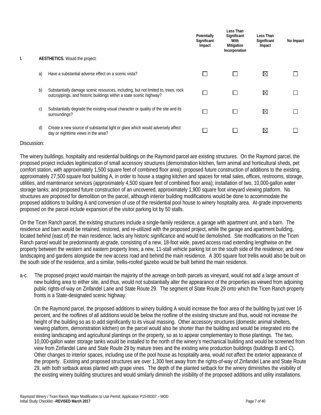|    |                                                                                                                                                          | Potentially<br>Significant<br>Impact | Less Than<br>Significant<br>With<br>Mitigation<br>Incorporation | Less Than<br>Significant<br>Impact | No Impact |
|----|----------------------------------------------------------------------------------------------------------------------------------------------------------|--------------------------------------|-----------------------------------------------------------------|------------------------------------|-----------|
|    | AESTHETICS. Would the project:                                                                                                                           |                                      |                                                                 |                                    |           |
| a) | Have a substantial adverse effect on a scenic vista?                                                                                                     |                                      | $\mathsf{L}$                                                    | ⊠                                  |           |
| b) | Substantially damage scenic resources, including, but not limited to, trees, rock<br>outcroppings, and historic buildings within a state scenic highway? |                                      | $\mathbf{L}$                                                    | ⊠                                  |           |
| C) | Substantially degrade the existing visual character or quality of the site and its<br>surroundings?                                                      | J.                                   | $\mathsf{L}$                                                    | ⊠                                  |           |
| d) | Create a new source of substantial light or glare which would adversely affect<br>day or nighttime views in the area?                                    |                                      |                                                                 | ⊠                                  |           |

The winery buildings, hospitality and residential buildings on the Raymond parcel are existing structures. On the Raymond parcel, the proposed project includes legitimization of small accessory structures (demonstration kitchen, farm animal and horticultural sheds, pet comfort station, with approximately 1,500 square feet of combined floor area); proposed future construction of additions to the existing, approximately 27,500 square foot building A, in order to house a staging kitchen and spaces for retail sales, offices, restrooms, storage, utilities, and maintenance services (approximately 4,500 square feet of combined floor area); installation of two, 10,000-gallon water storage tanks; and proposed future construction of an uncovered, approximately 1,900 square foot vineyard viewing platform. No structures are proposed for demolition on the parcel, although interior building modifications would be done to accommodate the proposed additions to building A and conversion of use of the residential pool house to winery hospitality area. At-grade improvements proposed on the parcel include expansion of the visitor parking lot by 50 stalls.

On the Ticen Ranch parcel, the existing structures include a single-family residence, a garage with apartment unit, and a barn. The residence and barn would be retained, restored, and re-utilized with the proposed project, while the garage and apartment building, located behind (east of) the main residence, lacks any historic significance and would be demolished. Site modifications on the Ticen Ranch parcel would be predominantly at-grade, consisting of a new, 18-foot wide, paved access road extending lengthwise on the property between the western and eastern property lines; a new, 11-stall vehicle parking lot on the south side of the residence; and new landscaping and gardens alongside the new access road and behind the main residence. A 300 square foot trellis would also be built on the south side of the residence, and a similar, trellis-roofed gazebo would be built behind the main residence.

a-c. The proposed project would maintain the majority of the acreage on both parcels as vineyard, would not add a large amount of new building area to either site, and thus, would not substantially alter the appearance of the properties as viewed from adjoining public rights-of-way on Zinfandel Lane and State Route 29. The segment of State Route 29 onto which the Ticen Ranch property fronts is a State-designated scenic highway.

On the Raymond parcel, the proposed additions to winery building A would increase the floor area of the building by just over 16 percent, and the rooflines of all additions would be below the roofline of the existing structure and thus, would not increase the height of the building so as to add significantly to its visual massing. Other accessory structures (domestic animal shelters, viewing platform, demonstration kitchen) on the parcel would also be shorter than the building and would be integrated into the existing landscaping and agricultural plantings on the property, so as to appear complementary to those plantings. The two, 10,000-gallon water storage tanks would be installed to the north of the winery's mechanical building and would be screened from view from Zinfandel Lane and State Route 29 by mature trees and the existing wine production buildings (buildings B and C). Other changes to interior spaces, including use of the pool house as hospitality area, would not affect the exterior appearance of the property. Existing and proposed structures are over 1,300 feet away from the rights-of-way of Zinfandel Lane and State Route 29, with both setback areas planted with grape vines. The depth of the planted setback for the winery diminishes the visibility of the existing winery building structures and would similarly diminish the visibility of the proposed additions and utility installations.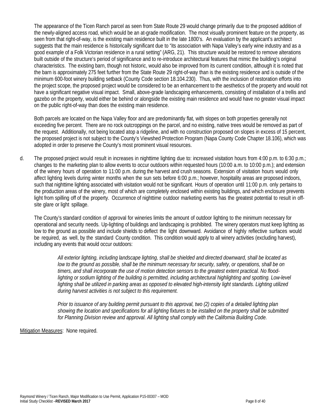The appearance of the Ticen Ranch parcel as seen from State Route 29 would change primarily due to the proposed addition of the newly-aligned access road, which would be an at-grade modification. The most visually prominent feature on the property, as seen from that right-of-way, is the existing main residence built in the late 1800's. An evaluation by the applicant's architect suggests that the main residence is historically significant due to "its association with Napa Valley's early wine industry and as a good example of a Folk Victorian residence in a rural setting" (ARG, 21). This structure would be restored to remove alterations built outside of the structure's period of significance and to re-introduce architectural features that mimic the building's original characteristics. The existing barn, though not historic, would also be improved from its current condition, although it is noted that the barn is approximately 275 feet further from the State Route 29 right-of-way than is the existing residence and is outside of the minimum 600-foot winery building setback (County Code section 18.104.230). Thus, with the inclusion of restoration efforts into the project scope, the proposed project would be considered to be an enhancement to the aesthetics of the property and would not have a significant negative visual impact. Small, above-grade landscaping enhancements, consisting of installation of a trellis and gazebo on the property, would either be behind or alongside the existing main residence and would have no greater visual impact on the public right-of-way than does the existing main residence.

Both parcels are located on the Napa Valley floor and are predominantly flat, with slopes on both properties generally not exceeding five percent. There are no rock outcroppings on the parcel, and no existing, native trees would be removed as part of the request. Additionally, not being located atop a ridgeline, and with no construction proposed on slopes in excess of 15 percent, the proposed project is not subject to the County's Viewshed Protection Program (Napa County Code Chapter 18.106), which was adopted in order to preserve the County's most prominent visual resources.

d. The proposed project would result in increases in nighttime lighting due to: increased visitation hours from 4:00 p.m. to 6:30 p.m.; changes to the marketing plan to allow events to occur outdoors within requested hours (10:00 a.m. to 10:00 p.m.); and extension of the winery hours of operation to 11:00 p.m. during the harvest and crush seasons. Extension of visitation hours would only affect lighting levels during winter months when the sun sets before 6:00 p.m.; however, hospitality areas are proposed indoors, such that nighttime lighting associated with visitation would not be significant. Hours of operation until 11:00 p.m. only pertains to the production areas of the winery, most of which are completely enclosed within existing buildings, and which enclosure prevents light from spilling off of the property. Occurrence of nighttime outdoor marketing events has the greatest potential to result in offsite glare or light spillage.

The County's standard condition of approval for wineries limits the amount of outdoor lighting to the minimum necessary for operational and security needs. Up-lighting of buildings and landscaping is prohibited. The winery operators must keep lighting as low to the ground as possible and include shields to deflect the light downward. Avoidance of highly reflective surfaces would be required, as well, by the standard County condition. This condition would apply to all winery activities (excluding harvest), including any events that would occur outdoors:

*All exterior lighting, including landscape lighting, shall be shielded and directed downward, shall be located as low to the ground as possible, shall be the minimum necessary for security, safety, or operations, shall be on timers, and shall incorporate the use of motion detection sensors to the greatest extent practical. No flood*lighting or sodium lighting of the building is permitted, including architectural highlighting and spotting. Low-level lighting shall be utilized in parking areas as opposed to elevated high-intensity light standards. Lighting utilized *during harvest activities is not subject to this requirement.*

*Prior to issuance of any building permit pursuant to this approval, two (2) copies of a detailed lighting plan*  showing the location and specifications for all lighting fixtures to be installed on the property shall be submitted *for Planning Division review and approval. All lighting shall comply with the California Building Code.*

Mitigation Measures: None required.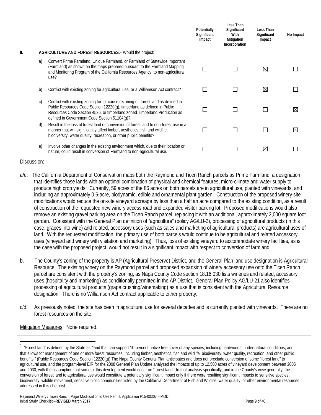|     |    |                                                                                                                                                                                                                                                                                            | Potentially<br>Significant<br>Impact | Less Than<br>Significant<br>With<br>Mitigation<br>Incorporation | Less Than<br>Significant<br>Impact | No Impact |
|-----|----|--------------------------------------------------------------------------------------------------------------------------------------------------------------------------------------------------------------------------------------------------------------------------------------------|--------------------------------------|-----------------------------------------------------------------|------------------------------------|-----------|
| II. |    | AGRICULTURE AND FOREST RESOURCES. <sup>1</sup> Would the project:                                                                                                                                                                                                                          |                                      |                                                                 |                                    |           |
|     | a) | Convert Prime Farmland, Unique Farmland, or Farmland of Statewide Important<br>(Farmland) as shown on the maps prepared pursuant to the Farmland Mapping<br>and Monitoring Program of the California Resources Agency, to non-agricultural<br>use?                                         |                                      |                                                                 | ⊠                                  |           |
|     | b) | Conflict with existing zoning for agricultural use, or a Williamson Act contract?                                                                                                                                                                                                          |                                      |                                                                 | ⊠                                  |           |
|     | C) | Conflict with existing zoning for, or cause rezoning of, forest land as defined in<br>Public Resources Code Section 12220(g), timberland as defined in Public<br>Resources Code Section 4526, or timberland zoned Timberland Production as<br>defined in Government Code Section 51104(g)? |                                      |                                                                 |                                    | ⊠         |
|     | d) | Result in the loss of forest land or conversion of forest land to non-forest use in a<br>manner that will significantly affect timber, aesthetics, fish and wildlife,<br>biodiversity, water quality, recreation, or other public benefits?                                                |                                      |                                                                 |                                    | ⊠         |
|     | e) | Involve other changes in the existing environment which, due to their location or<br>nature, could result in conversion of Farmland to non-agricultural use.                                                                                                                               |                                      |                                                                 | ⊠                                  |           |

- a/e. The California Department of Conservation maps both the Raymond and Ticen Ranch parcels as Prime Farmland, a designation that identifies those lands with an optimal combination of physical and chemical features, micro-climate and water supply to produce high crop yields. Currently, 59 acres of the 86 acres on both parcels are in agricultural use, planted with vineyards, and including an approximately 0.6-acre, biodynamic, edible and ornamental plant garden. Construction of the proposed winery site modifications would reduce the on-site vineyard acreage by less than a half an acre compared to the existing condition, as a result of construction of the requested new winery access road and expanded visitor parking lot. Proposed modifications would also remove an existing gravel parking area on the Ticen Ranch parcel, replacing it with an additional, approximately 2,000 square foot garden. Consistent with the General Plan definition of "agriculture" (policy AG/LU-2), processing of agricultural products (in this case, grapes into wine) and related, accessory uses (such as sales and marketing of agricultural products) are agricultural uses of land. With the requested modification, the primary use of both parcels would continue to be agricultural and related accessory uses (vineyard and winery with visitation and marketing). Thus, loss of existing vineyard to accommodate winery facilities, as is the case with the proposed project, would not result in a significant impact with respect to conversion of farmland.
- b. The County's zoning of the property is AP (Agricultural Preserve) District, and the General Plan land use designation is Agricultural Resource. The existing winery on the Raymond parcel and proposed expansion of winery accessory use onto the Ticen Ranch parcel are consistent with the property's zoning, as Napa County Code section 18.16.030 lists wineries and related, accessory uses (hospitality and marketing) as conditionally permitted in the AP District. General Plan Policy AG/LU-21 also identifies processing of agricultural products (grape crushing/winemaking) as a use that is consistent with the Agricultural Resource designation. There is no Williamson Act contract applicable to either property.
- c/d. As previously noted, the site has been in agricultural use for several decades and is currently planted with vineyards. There are no forest resources on the site.

Mitigation Measures: None required.

 $\frac{1}{1}$ <sup>1</sup> "Forest land" is defined by the State as "land that can support 10-percent native tree cover of any species, including hardwoods, under natural conditions, and that allows for management of one or more forest resources, including timber, aesthetics, fish and wildlife, biodiversity, water quality, recreation, and other public benefits." (Public Resources Code Section 12220(g)) The Napa County General Plan anticipates and does not preclude conversion of some "forest land" to agricultural use, and the program-level EIR for the 2008 General Plan Update analyzed the impacts of up to 12,500 acres of vineyard development between 2005 and 2030, with the assumption that some of this development would occur on "forest land." In that analysis specifically, and in the County's view generally, the conversion of forest land to agricultural use would constitute a potentially significant impact only if there were resulting significant impacts to sensitive species, biodiversity, wildlife movement, sensitive biotic communities listed by the California Department of Fish and Wildlife, water quality, or other environmental resources addressed in this checklist.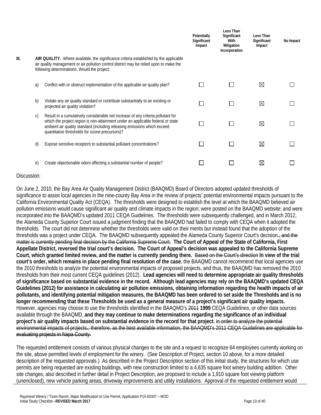|      |    |                                                                                                                                                                                                                                                                                                   | Potentially<br>Significant<br>Impact | Less Than<br>Significant<br>With<br>Mitigation<br>Incorporation | Less Than<br>Significant<br>Impact | No Impact |
|------|----|---------------------------------------------------------------------------------------------------------------------------------------------------------------------------------------------------------------------------------------------------------------------------------------------------|--------------------------------------|-----------------------------------------------------------------|------------------------------------|-----------|
| III. |    | AIR QUALITY. Where available, the significance criteria established by the applicable<br>air quality management or air pollution control district may be relied upon to make the<br>following determinations. Would the project:                                                                  |                                      |                                                                 |                                    |           |
|      | a) | Conflict with or obstruct implementation of the applicable air quality plan?                                                                                                                                                                                                                      |                                      |                                                                 | ⊠                                  |           |
|      | b) | Violate any air quality standard or contribute substantially to an existing or<br>projected air quality violation?                                                                                                                                                                                |                                      |                                                                 | ⊠                                  |           |
|      | C) | Result in a cumulatively considerable net increase of any criteria pollutant for<br>which the project region is non-attainment under an applicable federal or state<br>ambient air quality standard (including releasing emissions which exceed<br>quantitative thresholds for ozone precursors)? |                                      |                                                                 | ⊠                                  |           |
|      | d) | Expose sensitive receptors to substantial pollutant concentrations?                                                                                                                                                                                                                               |                                      |                                                                 | ⊠                                  |           |
|      | e) | Create objectionable odors affecting a substantial number of people?                                                                                                                                                                                                                              |                                      |                                                                 | ⊠                                  |           |
|      |    |                                                                                                                                                                                                                                                                                                   |                                      |                                                                 |                                    |           |

On June 2, 2010, the Bay Area Air Quality Management District (BAAQMD) Board of Directors adopted updated thresholds of significance to assist local agencies in the nine-county Bay Area in the review of projects' potential environmental impacts pursuant to the California Environmental Quality Act (CEQA). The thresholds were designed to establish the level at which the BAAQMD believed air pollution emissions would cause significant air quality and climate impacts in the region; were posted on the BAAQMD website; and were incorporated into the BAAQMD's updated 2011 CEQA Guidelines. The thresholds were subsequently challenged, and in March 2012, the Alameda County Superior Court issued a judgment finding that the BAAQMD had failed to comply with CEQA when it adopted the thresholds. The court did not determine whether the thresholds were valid on their merits but instead found that the adoption of the thresholds was a project under CEQA. The BAAQMD subsequently appealed the Alameda County Superior Court's decision**.**, and the matter is currently pending final decision by the California Supreme Court. **The Court of Appeal of the State of California, First Appellate District, reversed the trial court's decision. The Court of Appeal's decision was appealed to the California Supreme Court, which granted limited review, and the matter is currently pending there.** Based on the Court's direction **In view of the trial court's order, which remains in place pending final resolution of the case**, the BAAQMD cannot recommend that local agencies use the 2010 thresholds to analyze the potential environmental impacts of proposed projects, and thus, the BAAQMD has removed the 2010 thresholds from their most current CEQA guidelines (2012). **Lead agencies will need to determine appropriate air quality thresholds of significance based on substantial evidence in the record. Although lead agencies may rely on the BAAQMD's updated CEQA Guidelines (2012) for assistance in calculating air pollution emissions, obtaining information regarding the health impacts of air pollutants, and identifying potential mitigation measures, the BAAQMD has been ordered to set aside the Thresholds and is no longer recommending that these Thresholds be used as a general measure of a project's significant air quality impacts.**  However, agencies may choose to use the thresholds identified in the BAAQMD's 2011 **1999** CEQA Guidelines, or other data sources available through the BAAQMD, **and they may continue to make determinations regarding the significance of an individual project's air quality impacts based on substantial evidence in the record for that project.** in order to analyze the potential environmental impacts of projects**.**; therefore, as the best available information, the BAAQMD's 2011 CEQA Guidelines are applicable for evaluating projects in Napa County.

The requested entitlement consists of various physical changes to the site and a request to recognize 64 employees currently working on the site, above permitted levels of employment for the winery. (See Description of Project, section 10 above, for a more detailed description of the requested approvals.) As described in the Project Description section of this initial study, the structures for which use permits are being requested are existing buildings, with new construction limited to a 4,635 square foot winery building addition. Other site changes, also described in further detail in Project Description, are proposed to include a 1,910 square foot viewing platform (unenclosed), new vehicle parking areas, driveway improvements and utility installations. Approval of the requested entitlement would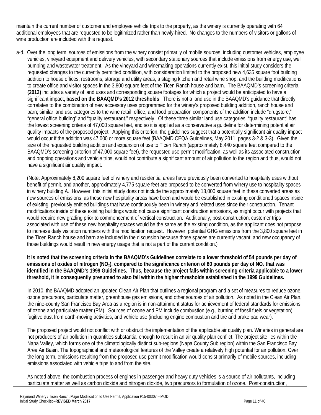maintain the current number of customer and employee vehicle trips to the property, as the winery is currently operating with 64 additional employees that are requested to be legitimized rather than newly-hired. No changes to the numbers of visitors or gallons of wine production are included with this request.

a-d. Over the long term, sources of emissions from the winery consist primarily of mobile sources, including customer vehicles, employee vehicles, vineyard equipment and delivery vehicles, with secondary stationary sources that include emissions from energy use, well pumping and wastewater treatment. As the vineyard and winemaking operations currently exist, this initial study considers the requested changes to the currently permitted condition, with consideration limited to the proposed new 4,635 square foot building addition to house offices, restrooms, storage and utility areas, a staging kitchen and retail wine shop, and the building modifications to create office and visitor spaces in the 3,800 square feet of the Ticen Ranch house and barn. The BAAQMD's screening criteria **(2012)** includes a variety of land uses and corresponding square footages for which a project would be anticipated to have a significant impact**, based on the BAAQMD's 2012 thresholds**. There is not a land use in the BAAQMD's guidance that directly correlates to the combination of new accessory uses programmed for the winery's proposed building addition, ranch house and barn; similar land use categories to the wine retail, office, and food preparation components of the addition include "drugstore," "general office building" and "quality restaurant," respectively. Of these three similar land use categories, "quality restaurant" has the lowest screening criteria of 47,000 square feet, and so it is applied as a conservative a guideline for determining potential air quality impacts of the proposed project. Applying this criterion, the guidelines suggest that a potentially significant air quality impact would occur if the addition was 47,000 or more square feet (BAAQMD CEQA Guidelines, May 2011, pages 3-2 & 3-3). Given the size of the requested building addition and expansion of use to Ticen Ranch (approximately 8,440 square feet compared to the BAAQMD's screening criterion of 47,000 square feet), the requested use permit modification, as well as its associated construction and ongoing operations and vehicle trips, would not contribute a significant amount of air pollution to the region and thus, would not have a significant air quality impact.

(Note: Approximately 8,200 square feet of winery and residential areas have previously been converted to hospitality uses without benefit of permit, and another, approximately 4,775 square feet are proposed to be converted from winery use to hospitality spaces in winery building A. However, this initial study does not include the approximately 13,000 square feet in these converted areas as new sources of emissions, as these new hospitality areas have been and would be established in existing conditioned spaces inside of existing, previously entitled buildings that have continuously been in winery and related uses since their construction. Tenant modifications inside of these existing buildings would not cause significant construction emissions, as might occur with projects that would require new grading prior to commencement of vertical construction. Additionally, post-construction, customer trips associated with use of these new hospitality spaces would be the same as the existing condition, as the applicant does not propose to increase daily visitation numbers with this modification request. However, potential GHG emissions from the 3,800 square feet in the Ticen Ranch house and barn are included in the discussion because those spaces are currently vacant, and new occupancy of those buildings would result in new energy usage that is not a part of the current condition.)

**It is noted that the screening criteria in the BAAQMD's Guidelines correlate to a lower threshold of 54 pounds per day of emissions of oxides of nitrogen (NOx), compared to the significance criterion of 80 pounds per day of NOx that was identified in the BAAQMD's 1999 Guidelines. Thus, because the project falls within screening criteria applicable to a lower threshold, it is consequently presumed to also fall within the higher thresholds established in the 1999 Guidelines.**

In 2010, the BAAQMD adopted an updated Clean Air Plan that outlines a regional program and a set of measures to reduce ozone, ozone precursors, particulate matter, greenhouse gas emissions, and other sources of air pollution. As noted in the Clean Air Plan, the nine-county San Francisco Bay Area as a region is in non-attainment status for achievement of federal standards for emissions of ozone and particulate matter (PM). Sources of ozone and PM include combustion (e.g., burning of fossil fuels or vegetation), fugitive dust from earth-moving activities, and vehicle use (including engine combustion and tire and brake pad wear).

The proposed project would not conflict with or obstruct the implementation of the applicable air quality plan. Wineries in general are not producers of air pollution in quantities substantial enough to result in an air quality plan conflict. The project site lies within the Napa Valley, which forms one of the climatologically distinct sub-regions (Napa County Sub region) within the San Francisco Bay Area Air Basin. The topographical and meteorological features of the Valley create a relatively high potential for air pollution. Over the long term, emissions resulting from the proposed use permit modification would consist primarily of mobile sources, including emissions associated with vehicle trips to and from the site.

As noted above, the combustion process of engines in passenger and heavy duty vehicles is a source of air pollutants, including particulate matter as well as carbon dioxide and nitrogen dioxide, two precursors to formulation of ozone. Post-construction,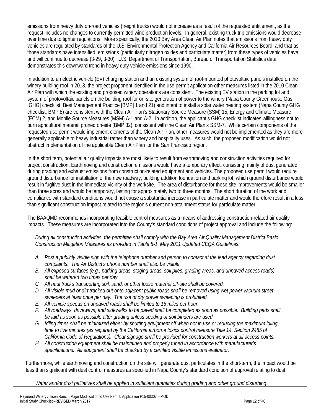emissions from heavy duty on-road vehicles (freight trucks) would not increase as a result of the requested entitlement, as the request includes no changes to currently permitted wine production levels. In general, existing truck trip emissions would decrease over time due to tighter regulations. More specifically, the 2010 Bay Area Clean Air Plan notes that emissions from heavy duty vehicles are regulated by standards of the U.S. Environmental Protection Agency and California Air Resources Board, and that as those standards have intensified, emissions (particularly nitrogen oxides and particulate matter) from these types of vehicles have and will continue to decrease (3-29, 3-30). U.S. Department of Transportation, Bureau of Transportation Statistics data demonstrates this downward trend in heavy duty vehicle emissions since 1990.

In addition to an electric vehicle (EV) charging station and an existing system of roof-mounted photovoltaic panels installed on the winery building roof in 2013, the project proponent identified in the use permit application other measures listed in the 2010 Clean Air Plan with which the existing and proposed winery operations are consistent. The existing EV station in the parking lot and system of photovoltaic panels on the building roof for on-site generation of power to the winery (Napa County Greenhouse Gas [GHG] checklist, Best Management Practice [BMP] 1 and 21) and intent to install a solar water heating system (Napa County GHG checklist, BMP 8) are consistent with the Clean Air Plan's Stationary Source Measure (SSM) 15, Energy and Climate Measure (ECM) 2, and Mobile Source Measures (MSM) A-1 and A-2. In addition, the applicant's GHG checklist indicates willingness not to burn agricultural material pruned on-site (BMP 32), consistent with the Clean Air Plan's SSM-7. While certain components of the requested use permit would implement elements of the Clean Air Plan, other measures would not be implemented as they are more generally applicable to heavy industrial rather than winery and hospitality uses. As such, the proposed modification would not obstruct implementation of the applicable Clean Air Plan for the San Francisco region.

In the short term, potential air quality impacts are most likely to result from earthmoving and construction activities required for project construction. Earthmoving and construction emissions would have a temporary effect, consisting mainly of dust generated during grading and exhaust emissions from construction-related equipment and vehicles. The proposed use permit would require ground disturbance for installation of the new roadway, building addition foundation and parking lot, which ground disturbance would result in fugitive dust in the immediate vicinity of the worksite. The area of disturbance for these site improvements would be smaller than three acres and would be temporary, lasting for approximately two to three months. The short duration of the work and compliance with standard conditions would not cause a substantial increase in particulate matter and would therefore result in a less than significant construction impact related to the region's current non-attainment status for particulate matter.

The BAAQMD recommends incorporating feasible control measures as a means of addressing construction-related air quality impacts. These measures are incorporated into the County's standard conditions of project approval and include the following:

*During all construction activities, the permittee shall comply with the Bay Area Air Quality Management District Basic Construction Mitigation Measures as provided in Table 8-1, May 2011 Updated CEQA Guidelines:*

- *A. Post a publicly visible sign with the telephone number and person to contact at the lead agency regarding dust complaints. The Air District's phone number shall also be visible.*
- *B. All exposed surfaces (e.g., parking areas, staging areas, soil piles, grading areas, and unpaved access roads) shall be watered two times per day.*
- *C. All haul trucks transporting soil, sand, or other loose material off-site shall be covered.*
- *D. All visible mud or dirt tracked out onto adjacent public roads shall be removed using wet power vacuum street sweepers at least once per day. The use of dry power sweeping is prohibited.*
- *E. All vehicle speeds on unpaved roads shall be limited to 15 miles per hour.*
- *F. All roadways, driveways, and sidewalks to be paved shall be completed as soon as possible. Building pads shall be laid as soon as possible after grading unless seeding or soil binders are used.*
- *G. Idling times shall be minimized either by shutting equipment off when not in use or reducing the maximum idling time to five minutes (as required by the California airborne toxics control measure Title 14, Section 2485 of California Code of Regulations). Clear signage shall be provided for construction workers at all access points.*
- *H. All construction equipment shall be maintained and properly tuned in accordance with manufacturer's specifications. All equipment shall be checked by a certified visible emissions evaluator.*

Furthermore, while earthmoving and construction on the site will generate dust particulates in the short-term, the impact would be less than significant with dust control measures as specified in Napa County's standard condition of approval relating to dust:

*Water and/or dust palliatives shall be applied in sufficient quantities during grading and other ground disturbing*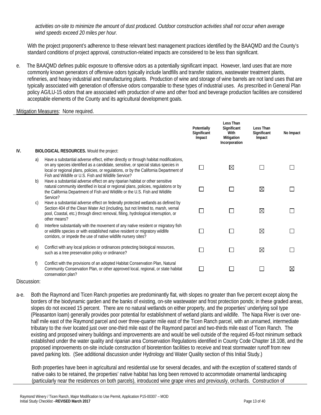*activities on-site to minimize the amount of dust produced. Outdoor construction activities shall not occur when average wind speeds exceed 20 miles per hour.*

With the project proponent's adherence to these relevant best management practices identified by the BAAQMD and the County's standard conditions of project approval, construction-related impacts are considered to be less than significant.

e. The BAAQMD defines public exposure to offensive odors as a potentially significant impact. However, land uses that are more commonly known generators of offensive odors typically include landfills and transfer stations, wastewater treatment plants, refineries, and heavy industrial and manufacturing plants. Production of wine and storage of wine barrels are not land uses that are typically associated with generation of offensive odors comparable to these types of industrial uses. As prescribed in General Plan policy AG/LU-15 odors that are associated with production of wine and other food and beverage production facilities are considered acceptable elements of the County and its agricultural development goals.

#### Mitigation Measures: None required.

|     |            |                                                                                                                                                                                                                                                                                                                            | Potentially<br>Significant<br>Impact | Less Than<br>Significant<br>With<br>Mitigation<br>Incorporation | Less Than<br>Significant<br>Impact | No Impact   |
|-----|------------|----------------------------------------------------------------------------------------------------------------------------------------------------------------------------------------------------------------------------------------------------------------------------------------------------------------------------|--------------------------------------|-----------------------------------------------------------------|------------------------------------|-------------|
| IV. |            | BIOLOGICAL RESOURCES. Would the project:                                                                                                                                                                                                                                                                                   |                                      |                                                                 |                                    |             |
|     | a)         | Have a substantial adverse effect, either directly or through habitat modifications,<br>on any species identified as a candidate, sensitive, or special status species in<br>local or regional plans, policies, or regulations, or by the California Department of<br>Fish and Wildlife or U.S. Fish and Wildlife Service? |                                      | ⊠                                                               |                                    |             |
|     | b)         | Have a substantial adverse effect on any riparian habitat or other sensitive<br>natural community identified in local or regional plans, policies, regulations or by<br>the California Department of Fish and Wildlife or the U.S. Fish and Wildlife<br>Service?                                                           |                                      |                                                                 | ⊠                                  |             |
|     | C)         | Have a substantial adverse effect on federally protected wetlands as defined by<br>Section 404 of the Clean Water Act (including, but not limited to, marsh, vernal<br>pool, Coastal, etc.) through direct removal, filling, hydrological interruption, or<br>other means?                                                 |                                      |                                                                 | ⊠                                  |             |
|     | d)         | Interfere substantially with the movement of any native resident or migratory fish<br>or wildlife species or with established native resident or migratory wildlife<br>corridors, or impede the use of native wildlife nursery sites?                                                                                      |                                      |                                                                 | ⊠                                  |             |
|     | $\epsilon$ | Conflict with any local policies or ordinances protecting biological resources,<br>such as a tree preservation policy or ordinance?                                                                                                                                                                                        |                                      |                                                                 | ⊠                                  |             |
|     | f)         | Conflict with the provisions of an adopted Habitat Conservation Plan, Natural<br>Community Conservation Plan, or other approved local, regional, or state habitat<br>conservation plan?                                                                                                                                    |                                      |                                                                 |                                    | $\boxtimes$ |

Discussion:

a-e. Both the Raymond and Ticen Ranch properties are predominantly flat, with slopes no greater than five percent except along the borders of the biodynamic garden and the banks of existing, on-site wastewater and frost protection ponds; in these graded areas, slopes do not exceed 15 percent. There are no natural wetlands on either property, and the properties' underlying soil type (Pleasanton loam) generally provides poor potential for establishment of wetland plants and wildlife. The Napa River is over onehalf mile east of the Raymond parcel and over three-quarter mile east of the Ticen Ranch parcel, with an unnamed, intermediate tributary to the river located just over one-third mile east of the Raymond parcel and two-thirds mile east of Ticen Ranch. The existing and proposed winery buildings and improvements are and would be well outside of the required 45-foot minimum setback established under the water quality and riparian area Conservation Regulations identified in County Code Chapter 18.108, and the proposed improvements on-site include construction of bioretention facilities to receive and treat stormwater runoff from new paved parking lots. (See additional discussion under Hydrology and Water Quality section of this Initial Study.)

Both properties have been in agricultural and residential use for several decades, and with the exception of scattered stands of native oaks to be retained, the properties' native habitat has long been removed to accommodate ornamental landscaping (particularly near the residences on both parcels), introduced wine grape vines and previously, orchards. Construction of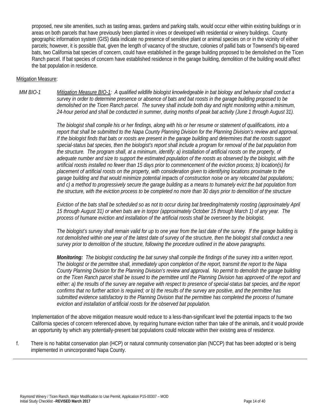proposed, new site amenities, such as tasting areas, gardens and parking stalls, would occur either within existing buildings or in areas on both parcels that have previously been planted in vines or developed with residential or winery buildings. County geographic information system (GIS) data indicate no presence of sensitive plant or animal species on or in the vicinity of either parcels; however, it is possible that, given the length of vacancy of the structure, colonies of pallid bats or Townsend's big-eared bats, two California bat species of concern, could have established in the garage building proposed to be demolished on the Ticen Ranch parcel. If bat species of concern have established residence in the garage building, demolition of the building would affect the bat population in residence.

#### Mitigation Measure:

*MM BIO-1 Mitigation Measure BIO-1: A qualified wildlife biologist knowledgeable in bat biology and behavior shall conduct a survey in order to determine presence or absence of bats and bat roosts in the garage building proposed to be demolished on the Ticen Ranch parcel. The survey shall include both day and night monitoring within a minimum, 24-hour period and shall be conducted in summer, during months of peak bat activity (June 1 through August 31).* 

> *The biologist shall compile his or her findings, along with his or her resume or statement of qualifications, into a report that shall be submitted to the Napa County Planning Division for the Planning Division's review and approval. If the biologist finds that bats or roosts are present in the garage building and determines that the roosts support special-status bat species, then the biologist's report shall include a program for removal of the bat population from the structure. The program shall, at a minimum, identify: a) installation of artificial roosts on the property, of adequate number and size to support the estimated population of the roosts as observed by the biologist, with the artificial roosts installed no fewer than 15 days prior to commencement of the eviction process; b) location(s) for placement of artificial roosts on the property, with consideration given to identifying locations proximate to the garage building and that would minimize potential impacts of construction noise on any relocated bat populations; and c) a method to progressively secure the garage building as a means to humanely evict the bat population from the structure, with the eviction process to be completed no more than 30 days prior to demolition of the structure*

> *Eviction of the bats shall be scheduled so as not to occur during bat breeding/maternity roosting (approximately April 15 through August 31) or when bats are in torpor (approximately October 15 through March 1) of any year. The process of humane eviction and installation of the artificial roosts shall be overseen by the biologist.*

*The biologist's survey shall remain valid for up to one year from the last date of the survey. If the garage building is not demolished within one year of the latest date of survey of the structure, then the biologist shall conduct a new survey prior to demolition of the structure, following the procedure outlined in the above paragraphs.*

*Monitoring: The biologist conducting the bat survey shall compile the findings of the survey into a written report. The biologist or the permittee shall, immediately upon completion of the report, transmit the report to the Napa County Planning Division for the Planning Division's review and approval. No permit to demolish the garage building on the Ticen Ranch parcel shall be issued to the permittee until the Planning Division has approved of the report and either: a) the results of the survey are negative with respect to presence of special-status bat species, and the report confirms that no further action is required; or b) the results of the survey are positive, and the permittee has submitted evidence satisfactory to the Planning Division that the permittee has completed the process of humane eviction and installation of artificial roosts for the observed bat population.* 

Implementation of the above mitigation measure would reduce to a less-than-significant level the potential impacts to the two California species of concern referenced above, by requiring humane eviction rather than take of the animals, and it would provide an opportunity by which any potentially-present bat populations could relocate within their existing area of residence.

f. There is no habitat conservation plan (HCP) or natural community conservation plan (NCCP) that has been adopted or is being implemented in unincorporated Napa County.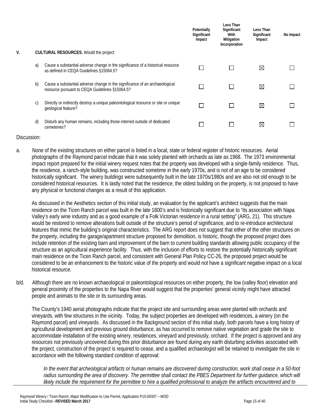|    |    |                                                                                                                               | Potentially<br>Significant<br>Impact | Less Than<br>Significant<br>With<br>Mitigation<br>Incorporation | Less Than<br>Significant<br>Impact | No Impact |
|----|----|-------------------------------------------------------------------------------------------------------------------------------|--------------------------------------|-----------------------------------------------------------------|------------------------------------|-----------|
| V. |    | CULTURAL RESOURCES. Would the project:                                                                                        |                                      |                                                                 |                                    |           |
|    | a) | Cause a substantial adverse change in the significance of a historical resource<br>as defined in CEQA Guidelines §15064.5?    |                                      |                                                                 | ⊠                                  |           |
|    | b) | Cause a substantial adverse change in the significance of an archaeological<br>resource pursuant to CEQA Guidelines §15064.5? |                                      |                                                                 | ⊠                                  |           |
|    | C) | Directly or indirectly destroy a unique paleontological resource or site or unique<br>geological feature?                     |                                      |                                                                 | ⊠                                  |           |
|    | d) | Disturb any human remains, including those interred outside of dedicated<br>cemeteries?                                       |                                      |                                                                 | ⊠                                  |           |

a. None of the existing structures on either parcel is listed in a local, state or federal register of historic resources. Aerial photographs of the Raymond parcel indicate that it was solely planted with orchards as late as 1968. The 1973 environmental impact report prepared for the initial winery request notes that the property was developed with a single-family residence. Thus, the residence, a ranch-style building, was constructed sometime in the early 1970s, and is not of an age to be considered historically significant. The winery buildings were subsequently built in the late 1970s/1980s and are also not old enough to be considered historical resources. It is lastly noted that the residence, the oldest building on the property, is not proposed to have any physical or functional changes as a result of this application.

As discussed in the Aesthetics section of this initial study, an evaluation by the applicant's architect suggests that the main residence on the Ticen Ranch parcel was built in the late 1800's and is historically significant due to "its association with Napa Valley's early wine industry and as a good example of a Folk Victorian residence in a rural setting" (ARG, 21). This structure would be restored to remove alterations built outside of the structure's period of significance, and to re-introduce architectural features that mimic the building's original characteristics. The ARG report does not suggest that either of the other structures on the property, including the garage/apartment structure proposed for demolition, is historic, though the proposed project does include retention of the existing barn and improvement of the barn to current building standards allowing public occupancy of the structure as an agricultural experience facility. Thus, with the inclusion of efforts to restore the potentially historically significant main residence on the Ticen Ranch parcel, and consistent with General Plan Policy CC-26, the proposed project would be considered to be an enhancement to the historic value of the property and would not have a significant negative impact on a local historical resource.

b/d. Although there are no known archaeological or paleontological resources on either property, the low (valley floor) elevation and general proximity of the properties to the Napa River would suggest that the properties' general vicinity might have attracted people and animals to the site or its surrounding areas.

The County's 1940 aerial photographs indicate that the project site and surrounding areas were planted with orchards and vineyards, with few structures in the vicinity. Today, the subject properties are developed with residences, a winery (on the Raymond parcel) and vineyards. As discussed in the Background section of this initial study, both parcels have a long history of agricultural development and previous ground disturbance, as has occurred to remove native vegetation and grade the site to accommodate installation of the existing winery, residences, vineyard and previously, orchard. If the project is approved and any resources not previously uncovered during this prior disturbance are found during any earth disturbing activities associated with the project, construction of the project is required to cease, and a qualified archaeologist will be retained to investigate the site in accordance with the following standard condition of approval:

*In the event that archeological artifacts or human remains are discovered during construction, work shall cease in a 50-foot*  radius surrounding the area of discovery. The permittee shall contact the PBES Department for further guidance, which will *likely include the requirement for the permittee to hire a qualified professional to analyze the artifacts encountered and to*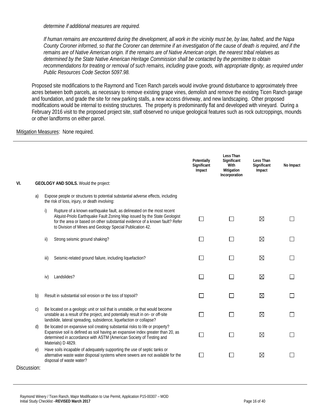*determine if additional measures are required.*

*If human remains are encountered during the development, all work in the vicinity must be, by law, halted, and the Napa County Coroner informed, so that the Coroner can determine if an investigation of the cause of death is required, and if the remains are of Native American origin. If the remains are of Native American origin, the nearest tribal relatives as determined by the State Native American Heritage Commission shall be contacted by the permittee to obtain recommendations for treating or removal of such remains, including grave goods, with appropriate dignity, as required under Public Resources Code Section 5097.98.*

Proposed site modifications to the Raymond and Ticen Ranch parcels would involve ground disturbance to approximately three acres between both parcels, as necessary to remove existing grape vines, demolish and remove the existing Ticen Ranch garage and foundation, and grade the site for new parking stalls, a new access driveway, and new landscaping. Other proposed modifications would be internal to existing structures. The property is predominantly flat and developed with vineyard. During a February 2016 visit to the proposed project site, staff observed no unique geological features such as rock outcroppings, mounds or other landforms on either parcel.

#### Mitigation Measures: None required.

|              |      |                                                                                                                                                                                                                                                                                              | Potentially<br>Significant<br>Impact | Less Than<br>Significant<br>With<br>Mitigation<br>Incorporation | <b>Less Than</b><br>Significant<br>Impact | No Impact |
|--------------|------|----------------------------------------------------------------------------------------------------------------------------------------------------------------------------------------------------------------------------------------------------------------------------------------------|--------------------------------------|-----------------------------------------------------------------|-------------------------------------------|-----------|
| VI.          |      | <b>GEOLOGY AND SOILS.</b> Would the project:                                                                                                                                                                                                                                                 |                                      |                                                                 |                                           |           |
| a)           |      | Expose people or structures to potential substantial adverse effects, including<br>the risk of loss, injury, or death involving:                                                                                                                                                             |                                      |                                                                 |                                           |           |
|              | i)   | Rupture of a known earthquake fault, as delineated on the most recent<br>Alquist-Priolo Earthquake Fault Zoning Map issued by the State Geologist<br>for the area or based on other substantial evidence of a known fault? Refer<br>to Division of Mines and Geology Special Publication 42. | $\Box$                               | П                                                               | ⊠                                         |           |
|              | ii)  | Strong seismic ground shaking?                                                                                                                                                                                                                                                               | $\Box$                               | П                                                               | ⊠                                         |           |
|              | iii) | Seismic-related ground failure, including liquefaction?                                                                                                                                                                                                                                      |                                      | $\mathsf{L}$                                                    | ⊠                                         |           |
|              | iv)  | Landslides?                                                                                                                                                                                                                                                                                  | П                                    | П                                                               | ⊠                                         |           |
| b)           |      | Result in substantial soil erosion or the loss of topsoil?                                                                                                                                                                                                                                   | $\Box$                               | П                                                               | $\boxtimes$                               |           |
| $\mathsf{C}$ |      | Be located on a geologic unit or soil that is unstable, or that would become<br>unstable as a result of the project, and potentially result in on- or off-site<br>landslide, lateral spreading, subsidence, liquefaction or collapse?                                                        |                                      | П                                                               | ⊠                                         |           |
| d)           |      | Be located on expansive soil creating substantial risks to life or property?<br>Expansive soil is defined as soil having an expansive index greater than 20, as<br>determined in accordance with ASTM (American Society of Testing and<br>Materials) D 4829.                                 | $\mathcal{L}$                        | П                                                               | ⊠                                         |           |
| e)           |      | Have soils incapable of adequately supporting the use of septic tanks or<br>alternative waste water disposal systems where sewers are not available for the<br>disposal of waste water?                                                                                                      | $\Box$                               | $\Box$                                                          | ⊠                                         |           |
| Discussion:  |      |                                                                                                                                                                                                                                                                                              |                                      |                                                                 |                                           |           |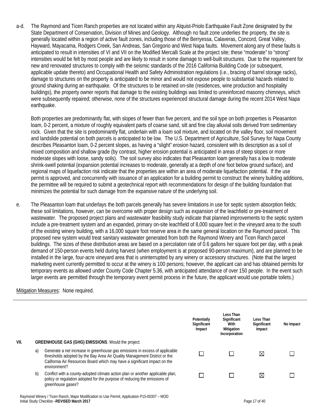a-d. The Raymond and Ticen Ranch properties are not located within any Alquist-Priolo Earthquake Fault Zone designated by the State Department of Conservation, Division of Mines and Geology. Although no fault zone underlies the property, the site is generally located within a region of active fault zones, including those of the Berryessa, Calaveras, Concord, Great Valley, Hayward, Mayacama, Rodgers Creek, San Andreas, San Gregorio and West Napa faults. Movement along any of these faults is anticipated to result in intensities of VI and VII on the Modified Mercalli Scale at the project site; these "moderate" to "strong" intensities would be felt by most people and are likely to result in some damage to well-built structures. Due to the requirement for new and renovated structures to comply with the seismic standards of the 2016 California Building Code (or subsequent, applicable update thereto) and Occupational Health and Safety Administration regulations (i.e., bracing of barrel storage racks), damage to structures on the property is anticipated to be minor and would not expose people to substantial hazards related to ground shaking during an earthquake. Of the structures to be retained on-site (residences, wine production and hospitality buildings), the property owner reports that damage to the existing buildings was limited to unreinforced masonry chimneys, which were subsequently repaired; otherwise, none of the structures experienced structural damage during the recent 2014 West Napa earthquake.

Both properties are predominantly flat, with slopes of fewer than five percent, and the soil type on both properties is Pleasanton loam, 0-2 percent, a mixture of roughly equivalent parts of coarse sand, silt and fine clay alluvial soils derived from sedimentary rock. Given that the site is predominantly flat, underlain with a loam soil mixture, and located on the valley floor, soil movement and landslide potential on both parcels is anticipated to be low. The U.S. Department of Agriculture, Soil Survey for Napa County describes Pleasanton loam, 0-2 percent slopes, as having a "slight" erosion hazard, consistent with its description as a soil of mixed composition and shallow grade (by contrast, higher erosion potential is anticipated in areas of steep slopes or more moderate slopes with loose, sandy soils). The soil survey also indicates that Pleasanton loam generally has a low to moderate shrink-swell potential (expansion potential increases to moderate, generally at a depth of one foot below ground surface), and regional maps of liquefaction risk indicate that the properties are within an area of moderate liquefaction potential. If the use permit is approved, and concurrently with issuance of an application for a building permit to construct the winery building additions, the permittee will be required to submit a geotechnical report with recommendations for design of the building foundation that minimizes the potential for such damage from the expansive nature of the underlying soil.

e. The Pleasanton loam that underlays the both parcels generally has severe limitations in use for septic system absorption fields; these soil limitations, however, can be overcome with proper design such as expansion of the leachfield or pre-treatment of wastewater. The proposed project plans and wastewater feasibility study indicate that planned improvements to the septic system include a pre-treatment system and an expanded, primary on-site leachfield of 8,000 square feet in the vineyard area to the south of the existing winery building, with a 16,000 square foot reserve area in the same general location on the Raymond parcel. This proposed new system would treat sanitary wastewater generated from both the Raymond Winery and Ticen Ranch parcel buildings. The sizes of these distribution areas are based on a percolation rate of 0.6 gallons her square foot per day, with a peak demand of 150-person events held during harvest (when employment is at proposed 90-person maximum), and are planned to be installed in the large, four-acre vineyard area that is uninterrupted by any winery or accessory structures. (Note that the largest marketing event currently permitted to occur at the winery is 100 persons; however, the applicant can and has obtained permits for temporary events as allowed under County Code Chapter 5.36, with anticipated attendance of over 150 people. In the event such larger events are permitted through the temporary event permit process in the future, the applicant would use portable toilets.)

#### Mitigation Measures: None required.

| VII. |    | <b>GREENHOUSE GAS (GHG) EMISSIONS. Would the project:</b>                                                                                                                                                                                             | Potentially<br>Significant<br>Impact | Less Than<br>Significant<br>With<br>Mitigation<br>Incorporation | Less Than<br>Significant<br>Impact | No Impact |
|------|----|-------------------------------------------------------------------------------------------------------------------------------------------------------------------------------------------------------------------------------------------------------|--------------------------------------|-----------------------------------------------------------------|------------------------------------|-----------|
|      | a) | Generate a net increase in greenhouse gas emissions in excess of applicable<br>thresholds adopted by the Bay Area Air Quality Management District or the<br>California Air Resources Board which may have a significant impact on the<br>environment? |                                      |                                                                 | $\boxtimes$                        |           |
|      | b) | Conflict with a county-adopted climate action plan or another applicable plan,<br>policy or regulation adopted for the purpose of reducing the emissions of<br>greenhouse gases?                                                                      |                                      |                                                                 | $\boxtimes$                        |           |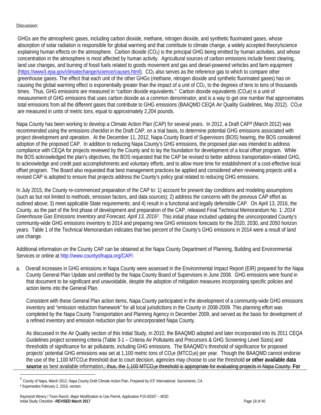GHGs are the atmospheric gases, including carbon dioxide, methane, nitrogen dioxide, and synthetic fluorinated gases, whose absorption of solar radiation is responsible for global warming and that contribute to climate change, a widely accepted theory/science explaining human effects on the atmosphere. Carbon dioxide (CO<sub>2</sub>) is the principal GHG being emitted by human activities, and whose concentration in the atmosphere is most affected by human activity. Agricultural sources of carbon emissions include forest clearing, land use changes, and burning of fossil fuels related to goods movement and gas and diesel-powered vehicles and farm equipment (https://www3.epa.gov/climatechange/science/causes.html). CO<sub>2</sub> also serves as the reference gas to which to compare other greenhouse gases. The effect that each unit of the other GHGs (methane, nitrogen dioxide and synthetic fluorinated gases) has on causing the global warming effect is exponentially greater than the impact of a unit of  $CO<sub>2</sub>$ , to the degrees of tens to tens of thousands times. Thus, GHG emissions are measured in "carbon dioxide equivalents." Carbon dioxide equivalents ( $CO<sub>2</sub>e$ ) is a unit of measurement of GHG emissions that uses carbon dioxide as a common denominator, and is a way to get one number that approximates total emissions from all the different gases that contribute to GHG emissions (BAAQMD CEQA Air Quality Guidelines, May 2012). CO<sub>2</sub>e are measured in units of metric tons, equal to approximately 2,204 pounds.

Napa County has been working to develop a Climate Action Plan (CAP) for several years. In 2012, a Draft CAP**<sup>2</sup>** (March 2012) was recommended using the emissions checklist in the Draft CAP, on a trial basis, to determine potential GHG emissions associated with project development and operation. At the December 11, 2012, Napa County Board of Supervisors (BOS) hearing, the BOS considered adoption of the proposed CAP. In addition to reducing Napa County's GHG emissions, the proposed plan was intended to address compliance with CEQA for projects reviewed by the County and to lay the foundation for development of a local offset program. While the BOS acknowledged the plan's objectives, the BOS requested that the CAP be revised to better address transportation-related GHG, to acknowledge and credit past accomplishments and voluntary efforts, and to allow more time for establishment of a cost-effective local offset program. The Board also requested that best management practices be applied and considered when reviewing projects until a revised CAP is adopted to ensure that projects address the County's policy goal related to reducing GHG emissions.

In July 2015, the County re-commenced preparation of the CAP to: 1) account for present day conditions and modeling assumptions (such as but not limited to methods, emission factors, and data sources); 2) address the concerns with the previous CAP effort as outlined above; 3) meet applicable State requirements; and 4) result in a functional and legally defensible CAP. On April 13, 2016, the County, as the part of the first phase of development and preparation of the CAP, released Final Technical Memorandum No. 1: *2014 Greenhouse Gas Emissions Inventory and Forecast, April 13, 20163*. This initial phase included updating the unincorporated County's community-wide GHG emissions inventory to 2014 and preparing new GHG emissions forecasts for the 2020, 2030, and 2050 horizon years. Table 1 of the Technical Memorandum indicates that two percent of the County's GHG emissions in 2014 were a result of land use change.

Additional information on the County CAP can be obtained at the Napa County Department of Planning, Building and Environmental Services or online at http://www.countyofnapa.org/CAP/.

a. Overall increases in GHG emissions in Napa County were assessed in the Environmental Impact Report (EIR) prepared for the Napa County General Plan Update and certified by the Napa County Board of Supervisors in June 2008. GHG emissions were found in that document to be significant and unavoidable, despite the adoption of mitigation measures incorporating specific policies and action items into the General Plan.

Consistent with these General Plan action items, Napa County participated in the development of a community-wide GHG emissions inventory and "emission reduction framework" for all local jurisdictions in the County in 2008-2009. This planning effort was completed by the Napa County Transportation and Planning Agency in December 2009, and served as the basis for development of a refined inventory and emission reduction plan for unincorporated Napa County.

As discussed in the Air Quality section of this Initial Study, in 2010, the BAAQMD adopted and later incorporated into its 2011 CEQA Guidelines project screening criteria (Table 3-1 – Criteria Air Pollutants and Precursors & GHG Screening Level Sizes) and thresholds of significance for air pollutants, including GHG emissions. The BAAQMD's threshold of significance for proposed projects' potential GHG emissions was set at 1,100 metric tons of  $CO<sub>2</sub>e$  (MTCO<sub>2</sub>e) per year. Though the BAAQMD cannot endorse the use of the 1,100 MTCO2e threshold due to court decision, agencies may choose to use the threshold **or other available data**  source as best available information.<del>; thus, the 1,100 MTCO<sub>2</sub>e threshold is appropriate for evaluating projects in Napa County. For</del>

<sup>&</sup>lt;sup>2</sup> County of Napa, March 2012, Napa County Draft Climate Action Plan, Prepared by ICF International. Sacramento, CA **<sup>3</sup>** Supersedes February 2, 2016, version.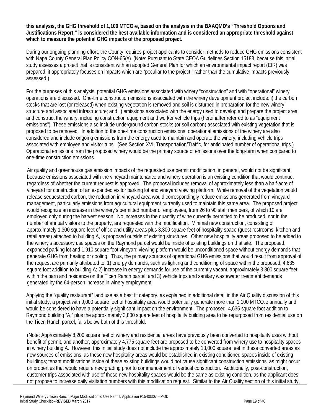this analysis, the GHG threshold of 1,100 MTCO<sub>2</sub>e, based on the analysis in the BAAQMD's "Threshold Options and **Justifications Report," is considered the best available information and is considered an appropriate threshold against which to measure the potential GHG impacts of the proposed project.**

During our ongoing planning effort, the County requires project applicants to consider methods to reduce GHG emissions consistent with Napa County General Plan Policy CON-65(e). (Note: Pursuant to State CEQA Guidelines Section 15183, because this initial study assesses a project that is consistent with an adopted General Plan for which an environmental impact report (EIR) was prepared, it appropriately focuses on impacts which are "peculiar to the project," rather than the cumulative impacts previously assessed.)

For the purposes of this analysis, potential GHG emissions associated with winery "construction" and with "operational" winery operations are discussed. One-time construction emissions associated with the winery development project include: i) the carbon stocks that are lost (or released) when existing vegetation is removed and soil is disturbed in preparation for the new winery structure and associated infrastructure; and ii) emissions associated with the energy used to develop and prepare the project area and construct the winery, including construction equipment and worker vehicle trips (hereinafter referred to as "equipment emissions"). These emissions also include underground carbon stocks (or soil carbon) associated with existing vegetation that is proposed to be removed. In addition to the one-time construction emissions, operational emissions of the winery are also considered and include ongoing emissions from the energy used to maintain and operate the winery, including vehicle trips associated with employee and visitor trips. (See Section XVI, Transportation/Traffic, for anticipated number of operational trips.) Operational emissions from the proposed winery would be the primary source of emissions over the long-term when compared to one-time construction emissions.

Air quality and greenhouse gas emission impacts of the requested use permit modification, in general, would not be significant because emissions associated with the vineyard maintenance and winery operation is an existing condition that would continue, regardless of whether the current request is approved. The proposal includes removal of approximately less than a half-acre of vineyard for construction of an expanded visitor parking lot and vineyard viewing platform. While removal of the vegetation would release sequestered carbon, the reduction in vineyard area would correspondingly reduce emissions generated from vineyard management, particularly emissions from agricultural equipment currently used to maintain this same area. The proposed project would recognize an increase in the winery's permitted number of employees, from 26 to 90 staff members, of which 10 are employed only during the harvest season. No increases in the quantity of wine currently permitted to be produced, nor in the number of annual visitors to the property, are requested with the modification. Minimal new construction, consisting of approximately 1,300 square feet of office and utility areas plus 3,300 square feet of hospitality space (guest restrooms, kitchen and retail areas) attached to building A, is proposed outside of existing structures. Other new hospitality areas proposed to be added to the winery's accessory use spaces on the Raymond parcel would be inside of existing buildings on that site. The proposed, expanded parking lot and 1,910 square foot vineyard viewing platform would be unconditioned space without energy demands that generate GHG from heating or cooling. Thus, the primary sources of operational GHG emissions that would result from approval of the request are primarily attributed to: 1) energy demands, such as lighting and conditioning of space within the proposed, 4,635 square foot addition to building A; 2) increase in energy demands for use of the currently vacant, approximately 3,800 square feet within the barn and residence on the Ticen Ranch parcel; and 3) vehicle trips and sanitary wastewater treatment demands generated by the 64-person increase in winery employment.

Applying the "quality restaurant" land use as a best fit category, as explained in additional detail in the Air Quality discussion of this initial study, a project with 9,000 square feet of hospitality area would potentially generate more than 1,100 MTCO<sub>2</sub>e annually and would be considered to have a potentially significant impact on the environment. The proposed, 4,635 square foot addition to Raymond building "A," plus the approximately 3,800 square feet of hospitality building area to be repurposed from residential use on the Ticen Ranch parcel, falls below both of this threshold.

(Note: Approximately 8,200 square feet of winery and residential areas have previously been converted to hospitality uses without benefit of permit, and another, approximately 4,775 square feet are proposed to be converted from winery use to hospitality spaces in winery building A. However, this initial study does not include the approximately 13,000 square feet in these converted areas as new sources of emissions, as these new hospitality areas would be established in existing conditioned spaces inside of existing buildings; tenant modifications inside of these existing buildings would not cause significant construction emissions, as might occur on properties that would require new grading prior to commencement of vertical construction. Additionally, post-construction, customer trips associated with use of these new hospitality spaces would be the same as existing condition, as the applicant does not propose to increase daily visitation numbers with this modification request. Similar to the Air Quality section of this initial study,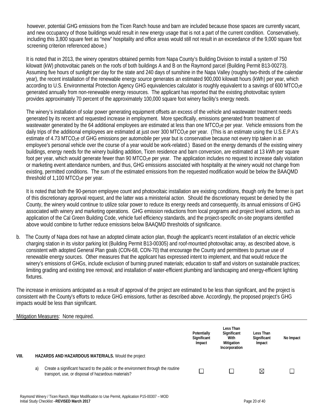however, potential GHG emissions from the Ticen Ranch house and barn are included because those spaces are currently vacant, and new occupancy of those buildings would result in new energy usage that is not a part of the current condition. Conservatively, including this 3,800 square feet as "new" hospitality and office areas would still not result in an exceedance of the 9,000 square foot screening criterion referenced above.)

It is noted that in 2013, the winery operators obtained permits from Napa County's Building Division to install a system of 750 kilowatt (kW) photovoltaic panels on the roofs of both buildings A and B on the Raymond parcel (Building Permit B13-00273). Assuming five hours of sunlight per day for the state and 240 days of sunshine in the Napa Valley (roughly two-thirds of the calendar year), the recent installation of the renewable energy source generates an estimated 900,000 kilowatt hours (kWh) per year, which according to U.S. Environmental Protection Agency GHG equivalencies calculator is roughly equivalent to a savings of 600 MTCO<sub>2</sub>e generated annually from non-renewable energy resources. The applicant has reported that the existing photovoltaic system provides approximately 70 percent of the approximately 100,000 square foot winery facility's energy needs.

The winery's installation of solar power generating equipment offsets an excess of the vehicle and wastewater treatment needs generated by its recent and requested increase in employment. More specifically, emissions generated from treatment of wastewater generated by the 64 additional employees are estimated at less than one MTCO<sub>2</sub>e per year. Vehicle emissions from the daily trips of the additional employees are estimated at just over 300 MTCO<sub>2</sub>e per year. (This is an estimate using the U.S.E.P.A's estimate of 4.73 MTCO<sub>2</sub>e of GHG emissions per automobile per year but is conservative because not every trip taken in an employee's personal vehicle over the course of a year would be work-related.) Based on the energy demands of the existing winery buildings, energy needs for the winery building addition, Ticen residence and barn conversion, are estimated at 13 kWh per square foot per year, which would generate fewer than 90 MTCO<sub>2</sub>e per year. The application includes no request to increase daily visitation or marketing event attendance numbers, and thus, GHG emissions associated with hospitality at the winery would not change from existing, permitted conditions. The sum of the estimated emissions from the requested modification would be below the BAAQMD threshold of  $1,100$  MTCO<sub>2</sub>e per year.

It is noted that both the 90-person employee count and photovoltaic installation are existing conditions, though only the former is part of this discretionary approval request, and the latter was a ministerial action. Should the discretionary request be denied by the County, the winery would continue to utilize solar power to reduce its energy needs and consequently, its annual emissions of GHG associated with winery and marketing operations. GHG emission reductions from local programs and project level actions, such as application of the Cal Green Building Code, vehicle fuel efficiency standards, and the project-specific on-site programs identified above would combine to further reduce emissions below BAAQMD thresholds of significance.

b. The County of Napa does not have an adopted climate action plan, though the applicant's recent installation of an electric vehicle charging station in its visitor parking lot (Building Permit B13-00305) and roof-mounted photovoltaic array, as described above, is consistent with adopted General Plan goals (CON-68, CON-70) that encourage the County and permittees to pursue use of renewable energy sources. Other measures that the applicant has expressed intent to implement, and that would reduce the winery's emissions of GHGs, include exclusion of burning pruned materials; education to staff and visitors on sustainable practices; limiting grading and existing tree removal; and installation of water-efficient plumbing and landscaping and energy-efficient lighting fixtures.

The increase in emissions anticipated as a result of approval of the project are estimated to be less than significant, and the project is consistent with the County's efforts to reduce GHG emissions, further as described above. Accordingly, the proposed project's GHG impacts would be less than significant.

#### Mitigation Measures: None required.

|       |    |                                                                                                                                         | Potentially<br>Significant<br>Impact | Less Than<br>Significant<br>With<br>Mitigation<br>Incorporation | Less Than<br>Significant<br>Impact | No Impact |
|-------|----|-----------------------------------------------------------------------------------------------------------------------------------------|--------------------------------------|-----------------------------------------------------------------|------------------------------------|-----------|
| VIII. |    | <b>HAZARDS AND HAZARDOUS MATERIALS.</b> Would the project                                                                               |                                      |                                                                 |                                    |           |
|       | a) | Create a significant hazard to the public or the environment through the routine<br>transport, use, or disposal of hazardous materials? |                                      |                                                                 | ⊠                                  |           |
|       |    | Raymond Winery / Ticen Ranch, Major Modification to Use Permit, Application P15-00307 - MOD                                             |                                      |                                                                 |                                    |           |

Initial Study Checklist –**REVISED March 2017 Page 20 of 40**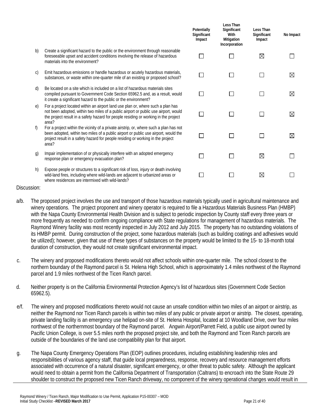|              |                                                                                                                                                                                                                                                                           | Potentially<br>Significant<br>Impact | Less Than<br>Significant<br>With<br>Mitigation<br>Incorporation | Less Than<br>Significant<br>Impact | No Impact   |
|--------------|---------------------------------------------------------------------------------------------------------------------------------------------------------------------------------------------------------------------------------------------------------------------------|--------------------------------------|-----------------------------------------------------------------|------------------------------------|-------------|
| b)           | Create a significant hazard to the public or the environment through reasonable<br>foreseeable upset and accident conditions involving the release of hazardous<br>materials into the environment?                                                                        |                                      |                                                                 | ⊠                                  |             |
| $\mathsf{C}$ | Emit hazardous emissions or handle hazardous or acutely hazardous materials,<br>substances, or waste within one-quarter mile of an existing or proposed school?                                                                                                           |                                      |                                                                 |                                    | $\boxtimes$ |
| d)           | Be located on a site which is included on a list of hazardous materials sites<br>compiled pursuant to Government Code Section 65962.5 and, as a result, would<br>it create a significant hazard to the public or the environment?                                         |                                      |                                                                 |                                    | $\boxtimes$ |
| e)           | For a project located within an airport land use plan or, where such a plan has<br>not been adopted, within two miles of a public airport or public use airport, would<br>the project result in a safety hazard for people residing or working in the project<br>area?    |                                      |                                                                 |                                    | $\boxtimes$ |
| f)           | For a project within the vicinity of a private airstrip, or, where such a plan has not<br>been adopted, within two miles of a public airport or public use airport, would the<br>project result in a safety hazard for people residing or working in the project<br>area? |                                      |                                                                 |                                    | $\boxtimes$ |
| g)           | Impair implementation of or physically interfere with an adopted emergency<br>response plan or emergency evacuation plan?                                                                                                                                                 |                                      |                                                                 | ⊠                                  |             |
| h)           | Expose people or structures to a significant risk of loss, injury or death involving<br>wild-land fires, including where wild-lands are adjacent to urbanized areas or<br>where residences are intermixed with wild-lands?                                                |                                      |                                                                 | ⊠                                  |             |

- a/b. The proposed project involves the use and transport of those hazardous materials typically used in agricultural maintenance and winery operations. The project proponent and winery operator is required to file a Hazardous Materials Business Plan (HMBP) with the Napa County Environmental Health Division and is subject to periodic inspection by County staff every three years or more frequently as needed to confirm ongoing compliance with State regulations for management of hazardous materials. The Raymond Winery facility was most recently inspected in July 2012 and July 2015. The property has no outstanding violations of its HMBP permit. During construction of the project, some hazardous materials (such as building coatings and adhesives would be utilized); however, given that use of these types of substances on the property would be limited to the 15- to 18-month total duration of construction, they would not create significant environmental impact.
- c. The winery and proposed modifications thereto would not affect schools within one-quarter mile. The school closest to the northern boundary of the Raymond parcel is St. Helena High School, which is approximately 1.4 miles northwest of the Raymond parcel and 1.9 miles northwest of the Ticen Ranch parcel.
- d. Neither property is on the California Environmental Protection Agency's list of hazardous sites (Government Code Section 65962.5).
- e/f. The winery and proposed modifications thereto would not cause an unsafe condition within two miles of an airport or airstrip, as neither the Raymond nor Ticen Ranch parcels is within two miles of any public or private airport or airstrip. The closest, operating, private landing facility is an emergency use helipad on-site of St. Helena Hospital, located at 10 Woodland Drive, over four miles northwest of the northernmost boundary of the Raymond parcel. Angwin Airport/Parrett Field, a public use airport owned by Pacific Union College, is over 5.5 miles north the proposed project site, and both the Raymond and Ticen Ranch parcels are outside of the boundaries of the land use compatibility plan for that airport.
- g. The Napa County Emergency Operations Plan (EOP) outlines procedures, including establishing leadership roles and responsibilities of various agency staff, that guide local preparedness, response, recovery and resource management efforts associated with occurrence of a natural disaster, significant emergency, or other threat to public safety. Although the applicant would need to obtain a permit from the California Department of Transportation (Caltrans) to encroach into the State Route 29 shoulder to construct the proposed new Ticen Ranch driveway, no component of the winery operational changes would result in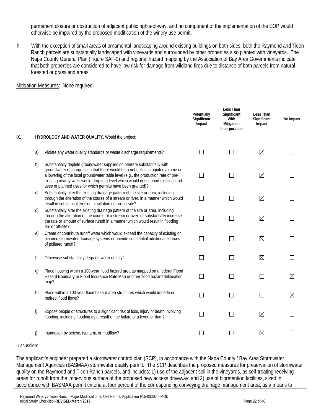permanent closure or obstruction of adjacent public rights-of-way, and no component of the implementation of the EOP would otherwise be impaired by the proposed modification of the winery use permit.

h. With the exception of small areas of ornamental landscaping around existing buildings on both sides, both the Raymond and Ticen Ranch parcels are substantially landscaped with vineyards and surrounded by other properties also planted with vineyards. The Napa County General Plan (Figure SAF-2) and regional hazard mapping by the Association of Bay Area Governments indicate that both properties are considered to have low risk for damage from wildland fires due to distance of both parcels from natural forested or grassland areas.

#### **Mitigation Measures: None required.**

|     |                |                                                                                                                                                                                                                                                                                                                                                                                                         | Potentially<br>Significant<br>Impact | Less Than<br>Significant<br>With<br>Mitigation<br>Incorporation | Less Than<br>Significant<br>Impact | No Impact   |
|-----|----------------|---------------------------------------------------------------------------------------------------------------------------------------------------------------------------------------------------------------------------------------------------------------------------------------------------------------------------------------------------------------------------------------------------------|--------------------------------------|-----------------------------------------------------------------|------------------------------------|-------------|
| IX. |                | HYDROLOGY AND WATER QUALITY. Would the project:                                                                                                                                                                                                                                                                                                                                                         |                                      |                                                                 |                                    |             |
|     | a)             | Violate any water quality standards or waste discharge requirements?                                                                                                                                                                                                                                                                                                                                    | П                                    | ΙI                                                              | $\boxtimes$                        |             |
|     | b)             | Substantially deplete groundwater supplies or interfere substantially with<br>groundwater recharge such that there would be a net deficit in aquifer volume or<br>a lowering of the local groundwater table level (e.g., the production rate of pre-<br>existing nearby wells would drop to a level which would not support existing land<br>uses or planned uses for which permits have been granted)? | $\Box$                               | ΙI                                                              | $\boxtimes$                        |             |
|     | C)             | Substantially alter the existing drainage pattern of the site or area, including<br>through the alteration of the course of a stream or river, in a manner which would<br>result in substantial erosion or siltation on- or off-site?                                                                                                                                                                   | □                                    | П                                                               | $\boxtimes$                        |             |
|     | d)             | Substantially alter the existing drainage pattern of the site or area, including<br>through the alteration of the course of a stream or river, or substantially increase<br>the rate or amount of surface runoff in a manner which would result in flooding<br>on- or off-site?                                                                                                                         | П                                    | П                                                               | $\boxtimes$                        |             |
|     | e)             | Create or contribute runoff water which would exceed the capacity of existing or<br>planned stormwater drainage systems or provide substantial additional sources<br>of polluted runoff?                                                                                                                                                                                                                | П                                    |                                                                 | $\boxtimes$                        |             |
|     | f)             | Otherwise substantially degrade water quality?                                                                                                                                                                                                                                                                                                                                                          | П                                    | П                                                               | $\boxtimes$                        |             |
|     | $\mathfrak{g}$ | Place housing within a 100-year flood hazard area as mapped on a federal Flood<br>Hazard Boundary or Flood Insurance Rate Map or other flood hazard delineation<br>map?                                                                                                                                                                                                                                 | □                                    | ΙI                                                              | П                                  | $\boxtimes$ |
|     | h)             | Place within a 100-year flood hazard area structures which would impede or<br>redirect flood flows?                                                                                                                                                                                                                                                                                                     | П                                    | П                                                               | $\mathsf{L}$                       | $\boxtimes$ |
|     | i)             | Expose people or structures to a significant risk of loss, injury or death involving<br>flooding, including flooding as a result of the failure of a levee or dam?                                                                                                                                                                                                                                      | ΙI                                   | ΙI                                                              | $\boxtimes$                        |             |
|     | j)             | Inundation by seiche, tsunami, or mudflow?                                                                                                                                                                                                                                                                                                                                                              |                                      |                                                                 | ⊠                                  |             |

#### Discussion:

The applicant's engineer prepared a stormwater control plan (SCP), in accordance with the Napa County / Bay Area Stormwater Management Agencies (BASMAA) stormwater quality permit. The SCP describes the proposed measures for preservation of stormwater quality on the Raymond and Ticen Ranch parcels, and includes: 1) use of the adjacent soil in the vineyards, as self-treating receiving areas for runoff from the impervious surface of the proposed new access driveway; and 2) use of bioretention facilities, sized in accordance with BASMAA permit criteria at four percent of the corresponding conveying drainage management area, as a means to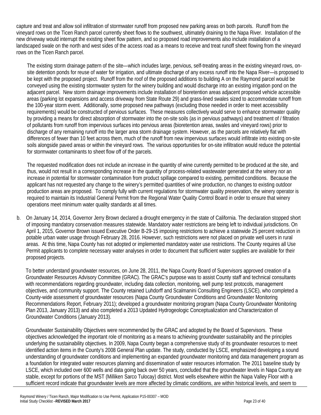capture and treat and allow soil infiltration of stormwater runoff from proposed new parking areas on both parcels. Runoff from the vineyard rows on the Ticen Ranch parcel currently sheet flows to the southwest, ultimately draining to the Napa River. Installation of the new driveway would interrupt the existing sheet flow pattern, and so proposed road improvements also include installation of a landscaped swale on the north and west sides of the access road as a means to receive and treat runoff sheet flowing from the vineyard rows on the Ticen Ranch parcel.

The existing storm drainage pattern of the site—which includes large, pervious, self-treating areas in the existing vineyard rows, onsite detention ponds for reuse of water for irrigation, and ultimate discharge of any excess runoff into the Napa River—is proposed to be kept with the proposed project. Runoff from the roof of the proposed additions to building A on the Raymond parcel would be conveyed using the existing stormwater system for the winery building and would discharge into an existing irrigation pond on the adjacent parcel. New storm drainage improvements include installation of bioretention areas adjacent proposed vehicle accessible areas (parking lot expansions and access driveway from State Route 29) and grass-lined swales sized to accommodate runoff from the 100-year storm event. Additionally, some proposed new pathways (excluding those needed in order to meet accessibility requirements) would be constructed of pervious surfaces. These measures collectively would serve to enhance stormwater quality by providing a means for direct absorption of stormwater into the on-site soils (as in pervious pathways) and treatment of / filtration of pollutants from runoff from impervious surfaces into pervious areas (bioretention areas, swales and vineyard rows) prior to discharge of any remaining runoff into the larger area storm drainage system. However, as the parcels are relatively flat with differences of fewer than 10 feet across them, much of the runoff from new impervious surfaces would infiltrate into existing on-site soils alongside paved areas or within the vineyard rows. The various opportunities for on-site infiltration would reduce the potential for stormwater contaminants to sheet flow off of the parcels.

The requested modification does not include an increase in the quantity of wine currently permitted to be produced at the site, and thus, would not result in a corresponding increase in the quantity of process-related wastewater generated at the winery nor an increase in potential for stormwater contamination from product spillage compared to existing, permitted conditions. Because the applicant has not requested any change to the winery's permitted quantities of wine production, no changes to existing outdoor production areas are proposed. To comply fully with current regulations for stormwater quality preservation, the winery operator is required to maintain its Industrial General Permit from the Regional Water Quality Control Board in order to ensure that winery operations meet minimum water quality standards at all times.

b. On January 14, 2014, Governor Jerry Brown declared a drought emergency in the state of California. The declaration stopped short of imposing mandatory conservation measures statewide. Mandatory water restrictions are being left to individual jurisdictions. On April 1, 2015, Governor Brown issued Executive Order B-29-15 imposing restrictions to achieve a statewide 25 percent reduction in potable urban water usage through February 28, 2016. However, such restrictions were not placed on private well users in rural areas. At this time, Napa County has not adopted or implemented mandatory water use restrictions. The County requires all Use Permit applicants to complete necessary water analyses in order to document that sufficient water supplies are available for their proposed projects.

To better understand groundwater resources, on June 28, 2011, the Napa County Board of Supervisors approved creation of a Groundwater Resources Advisory Committee (GRAC). The GRAC's purpose was to assist County staff and technical consultants with recommendations regarding groundwater, including data collection, monitoring, well pump test protocols, management objectives, and community support. The County retained Luhdorff and Scalmanini Consulting Engineers (LSCE), who completed a County-wide assessment of groundwater resources (Napa County Groundwater Conditions and Groundwater Monitoring Recommendations Report, February 2011); developed a groundwater monitoring program (Napa County Groundwater Monitoring Plan 2013, January 2013) and also completed a 2013 Updated Hydrogeologic Conceptualization and Characterization of Groundwater Conditions (January 2013).

Groundwater Sustainability Objectives were recommended by the GRAC and adopted by the Board of Supervisors. These objectives acknowledged the important role of monitoring as a means to achieving groundwater sustainability and the principles underlying the sustainability objectives. In 2009, Napa County began a comprehensive study of its groundwater resources to meet identified action items in the County's 2008 General Plan update. The study, conducted by LSCE, emphasized developing a sound understanding of groundwater conditions and implementing an expanded groundwater monitoring and data management program as a foundation for integrated water resources planning and dissemination of water resources information. The 2011 baseline study by LSCE, which included over 600 wells and data going back over 50 years, concluded that the groundwater levels in Napa County are stable, except for portions of the MST (Milliken Sarco Tulocay) district. Most wells elsewhere within the Napa Valley Floor with a sufficient record indicate that groundwater levels are more affected by climatic conditions, are within historical levels, and seem to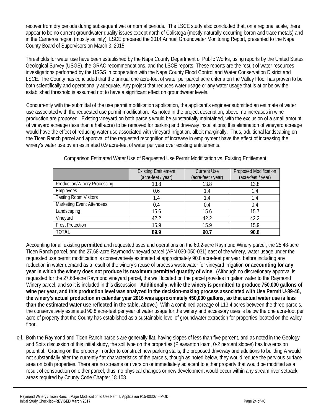recover from dry periods during subsequent wet or normal periods. The LSCE study also concluded that, on a regional scale, there appear to be no current groundwater quality issues except north of Calistoga (mostly naturally occurring boron and trace metals) and in the Carneros region (mostly salinity). LSCE prepared the 2014 Annual Groundwater Monitoring Report, presented to the Napa County Board of Supervisors on March 3, 2015.

Thresholds for water use have been established by the Napa County Department of Public Works, using reports by the United States Geological Survey (USGS), the GRAC recommendations, and the LSCE reports. These reports are the result of water resources investigations performed by the USGS in cooperation with the Napa County Flood Control and Water Conservation District and LSCE. The County has concluded that the annual one acre-foot of water per parcel acre criteria on the Valley Floor has proven to be both scientifically and operationally adequate. Any project that reduces water usage or any water usage that is at or below the established threshold is assumed not to have a significant effect on groundwater levels.

Concurrently with the submittal of the use permit modification application, the applicant's engineer submitted an estimate of water use associated with the requested use permit modification. As noted in the project description, above, no increases in wine production are proposed. Existing vineyard on both parcels would be substantially maintained, with the exclusion of a small amount of vineyard acreage (less than a half-acre) to be removed for parking and driveway installations; this elimination of vineyard acreage would have the effect of reducing water use associated with vineyard irrigation, albeit marginally. Thus, additional landscaping on the Ticen Ranch parcel and approval of the requested recognition of increase in employment have the effect of increasing the winery's water use by an estimated 0.9 acre-feet of water per year over existing entitlements.

|                                     | <b>Existing Entitlement</b><br>(acre-feet / year) | <b>Current Use</b><br>(acre-feet / year) | Proposed Modification<br>(acre-feet / year) |
|-------------------------------------|---------------------------------------------------|------------------------------------------|---------------------------------------------|
| <b>Production/Winery Processing</b> | 13.8                                              | 13.8                                     | 13.8                                        |
| Employees                           | 0.6                                               | 1.4                                      | 1.4                                         |
| <b>Tasting Room Visitors</b>        | 1.4                                               | 1.4                                      | 1.4                                         |
| <b>Marketing Event Attendees</b>    | 0.4                                               | 0.4                                      | 0.4                                         |
| Landscaping                         | 15.6                                              | 15.6                                     | 15.7                                        |
| Vineyard                            | 42.2                                              | 42.2                                     | 42.2                                        |
| <b>Frost Protection</b>             | 15.9                                              | 15.9                                     | 15.9                                        |
| <b>TOTAL</b>                        | 89.9                                              | 90.7                                     | 90.8                                        |

Comparison Estimated Water Use of Requested Use Permit Modification vs. Existing Entitlement

Accounting for all existing **permitted** and requested uses and operations on the 60.2-acre Raymond Winery parcel, the 25.48-acre Ticen Ranch parcel, and the 27.68-acre Raymond vineyard parcel (APN 030-050-031) east of the winery, water usage under the requested use permit modification is conservatively estimated at approximately 90.8 acre-feet per year, before including any reduction in water demand as a result of the winery's reuse of process wastewater for vineyard irrigation **or accounting for any year in which the winery does not produce its maximum permitted quantity of wine**. (Although no discretionary approval is requested for the 27.68-acre Raymond vineyard parcel, the well located on the parcel provides irrigation water to the Raymond Winery parcel, and so it is included in this discussion. **Additionally, while the winery is permitted to produce 750,000 gallons of wine per year, and this production level was analyzed in the decision-making process associated with Use Permit U-89-46, the winery's actual production in calendar year 2016 was approximately 450,000 gallons, so that actual water use is less than the estimated water use reflected in the table, above.**) With a combined acreage of 113.4 acres between the three parcels, the conservatively estimated 90.8 acre-feet per year of water usage for the winery and accessory uses is below the one acre-foot per acre of property that the County has established as a sustainable level of groundwater extraction for properties located on the valley floor.

c-f. Both the Raymond and Ticen Ranch parcels are generally flat, having slopes of less than five percent, and as noted in the Geology and Soils discussion of this initial study, the soil type on the properties (Pleasanton loam, 0-2 percent slopes) has low erosion potential. Grading on the property in order to construct new parking stalls, the proposed driveway and additions to building A would not substantially alter the currently flat characteristics of the parcels, though as noted below, they would reduce the pervious surface area on both properties. There are no streams or rivers on or immediately adjacent to either property that would be modified as a result of construction on either parcel; thus, no physical changes or new development would occur within any stream river setback areas required by County Code Chapter 18.108.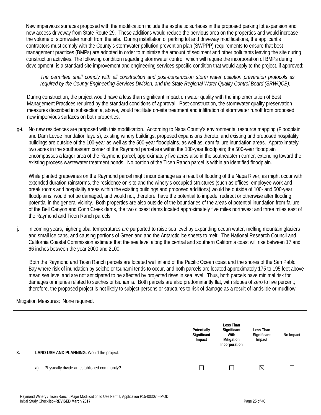New impervious surfaces proposed with the modification include the asphaltic surfaces in the proposed parking lot expansion and new access driveway from State Route 29. These additions would reduce the pervious area on the properties and would increase the volume of stormwater runoff from the site. During installation of parking lot and driveway modifications, the applicant's contractors must comply with the County's stormwater pollution prevention plan (SWPPP) requirements to ensure that best management practices (BMPs) are adopted in order to minimize the amount of sediment and other pollutants leaving the site during construction activities. The following condition regarding stormwater control, which will require the incorporation of BMPs during development, is a standard site improvement and engineering services-specific condition that would apply to the project, if approved:

### *The permittee shall comply with all construction and post-construction storm water pollution prevention protocols as required by the County Engineering Services Division, and the State Regional Water Quality Control Board (SRWQCB).*

During construction, the project would have a less than significant impact on water quality with the implementation of Best Management Practices required by the standard conditions of approval. Post-construction, the stormwater quality preservation measures described in subsection a, above, would facilitate on-site treatment and infiltration of stormwater runoff from proposed new impervious surfaces on both properties.

g-i. No new residences are proposed with this modification. According to Napa County's environmental resource mapping (Floodplain and Dam Levee Inundation layers), existing winery buildings, proposed expansions thereto, and existing and proposed hospitality buildings are outside of the 100-year as well as the 500-year floodplains, as well as, dam failure inundation areas. Approximately two acres in the southeastern corner of the Raymond parcel are within the 100-year floodplain; the 500-year floodplain encompasses a larger area of the Raymond parcel, approximately five acres also in the southeastern corner, extending toward the existing process wastewater treatment ponds. No portion of the Ticen Ranch parcel is within an identified floodplain.

 While planted grapevines on the Raymond parcel might incur damage as a result of flooding of the Napa River, as might occur with extended duration rainstorms, the residence on-site and the winery's occupied structures (such as offices, employee work and break rooms and hospitality areas within the existing buildings and proposed additions) would be outside of 100- and 500-year floodplains, would not be damaged, and would not, therefore, have the potential to impede, redirect or otherwise alter flooding potential in the general vicinity. Both properties are also outside of the boundaries of the areas of potential inundation from failure of the Bell Canyon and Conn Creek dams, the two closest dams located approximately five miles northwest and three miles east of the Raymond and Ticen Ranch parcels

j. In coming years, higher global temperatures are purported to raise sea level by expanding ocean water, melting mountain glaciers and small ice caps, and causing portions of Greenland and the Antarctic ice sheets to melt. The National Research Council and California Coastal Commission estimate that the sea level along the central and southern California coast will rise between 17 and 66 inches between the year 2000 and 2100.

Both the Raymond and Ticen Ranch parcels are located well inland of the Pacific Ocean coast and the shores of the San Pablo Bay where risk of inundation by seiche or tsunami tends to occur, and both parcels are located approximately 175 to 195 feet above mean sea level and are not anticipated to be affected by projected rises in sea level. Thus, both parcels have minimal risk for damages or injuries related to seiches or tsunamis. Both parcels are also predominantly flat, with slopes of zero to five percent; therefore, the proposed project is not likely to subject persons or structures to risk of damage as a result of landslide or mudflow.

# Mitigation Measures: None required.

| Χ. | LAND USE AND PLANNING. Would the project:         | Potentially<br>Significant<br>Impact | Less Than<br>Significant<br>With<br>Mitigation<br>Incorporation | Less Than<br>Significant<br>Impact | No Impact |
|----|---------------------------------------------------|--------------------------------------|-----------------------------------------------------------------|------------------------------------|-----------|
|    |                                                   |                                      |                                                                 |                                    |           |
|    | Physically divide an established community?<br>a) |                                      | $\Box$                                                          | ⊠                                  |           |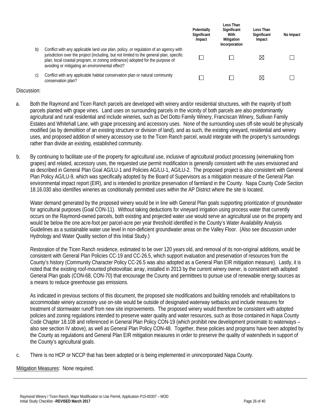|    |                                                                                                                                                                                                                                                                                                                   | Potentially<br>Significant<br>Impact | Less Than<br>Significant<br>With<br>Mitigation<br>Incorporation | Less Than<br>Significant<br>Impact | No Impact |
|----|-------------------------------------------------------------------------------------------------------------------------------------------------------------------------------------------------------------------------------------------------------------------------------------------------------------------|--------------------------------------|-----------------------------------------------------------------|------------------------------------|-----------|
| b) | Conflict with any applicable land use plan, policy, or regulation of an agency with<br>jurisdiction over the project (including, but not limited to the general plan, specific<br>plan, local coastal program, or zoning ordinance) adopted for the purpose of<br>avoiding or mitigating an environmental effect? |                                      |                                                                 | $\bowtie$                          |           |
| C) | Conflict with any applicable habitat conservation plan or natural community<br>conservation plan?                                                                                                                                                                                                                 |                                      |                                                                 | ⋈                                  |           |

- a. Both the Raymond and Ticen Ranch parcels are developed with winery and/or residential structures, with the majority of both parcels planted with grape vines. Land uses on surrounding parcels in the vicinity of both parcels are also predominantly agricultural and rural residential and include wineries, such as Del Dotto Family Winery, Franciscan Winery, Sullivan Family Estates and Whitehall Lane, with grape processing and accessory uses. None of the surrounding uses off-site would be physically modified (as by demolition of an existing structure or division of land), and as such, the existing vineyard, residential and winery uses, and proposed addition of winery accessory use to the Ticen Ranch parcel, would integrate with the property's surroundings rather than divide an existing, established community.
- b. By continuing to facilitate use of the property for agricultural use, inclusive of agricultural product processing (winemaking from grapes) and related, accessory uses, the requested use permit modification is generally consistent with the uses envisioned and as described in General Plan Goal AG/LU-1 and Policies AG/LU-1, AG/LU-2. The proposed project is also consistent with General Plan Policy AG/LU-9, which was specifically adopted by the Board of Supervisors as a mitigation measure of the General Plan environmental impact report (EIR), and is intended to prioritize preservation of farmland in the County. Napa County Code Section 18.16.030 also identifies wineries as conditionally permitted uses within the AP District where the site is located.

Water demand generated by the proposed winery would be in line with General Plan goals supporting prioritization of groundwater for agricultural purposes (Goal CON-11). Without taking deductions for vineyard irrigation using process water that currently occurs on the Raymond-owned parcels, both existing and projected water use would serve an agricultural use on the property and would be below the one acre-foot per parcel-acre per year threshold identified in the County's Water Availability Analysis Guidelines as a sustainable water use level in non-deficient groundwater areas on the Valley Floor. (Also see discussion under Hydrology and Water Quality section of this Initial Study.)

Restoration of the Ticen Ranch residence, estimated to be over 120 years old, and removal of its non-original additions, would be consistent with General Plan Policies CC-19 and CC-26.5, which support evaluation and preservation of resources from the County's history (Community Character Policy CC-26.5 was also adopted as a General Plan EIR mitigation measure). Lastly, it is noted that the existing roof-mounted photovoltaic array, installed in 2013 by the current winery owner, is consistent with adopted General Plan goals (CON-68, CON-70) that encourage the County and permittees to pursue use of renewable energy sources as a means to reduce greenhouse gas emissions.

As indicated in previous sections of this document, the proposed site modifications and building remodels and rehabilitations to accommodate winery accessory use on-site would be outside of designated waterway setbacks and include measures for treatment of stormwater runoff from new site improvements. The proposed winery would therefore be consistent with adopted policies and zoning regulations intended to preserve water quality and water resources, such as those contained in Napa County Code Chapter 18.108 and referenced in General Plan Policy CON-19 (which prohibit new development proximate to waterways – also see section IV above), as well as General Plan Policy CON-48. Together, these policies and programs have been adopted by the County as regulations and General Plan EIR mitigation measures in order to preserve the quality of watersheds in support of the County's agricultural goals.

c. There is no HCP or NCCP that has been adopted or is being implemented in unincorporated Napa County.

# Mitigation Measures: None required.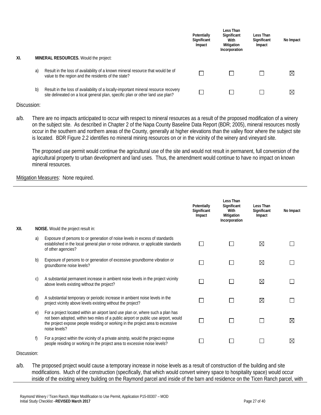|     |    |                                                                                                                                                                       | Potentially<br>Significant<br>Impact | Less Than<br>Significant<br>With<br>Mitigation<br>Incorporation | Less Than<br>Significant<br>Impact | No Impact   |
|-----|----|-----------------------------------------------------------------------------------------------------------------------------------------------------------------------|--------------------------------------|-----------------------------------------------------------------|------------------------------------|-------------|
| XI. |    | <b>MINERAL RESOURCES.</b> Would the project:                                                                                                                          |                                      |                                                                 |                                    |             |
|     | a) | Result in the loss of availability of a known mineral resource that would be of<br>value to the region and the residents of the state?                                |                                      |                                                                 |                                    | $\boxtimes$ |
|     | b) | Result in the loss of availability of a locally-important mineral resource recovery<br>site delineated on a local general plan, specific plan or other land use plan? |                                      |                                                                 |                                    | $\boxtimes$ |

a/b. There are no impacts anticipated to occur with respect to mineral resources as a result of the proposed modification of a winery on the subject site. As described in Chapter 2 of the Napa County Baseline Data Report (BDR; 2005), mineral resources mostly occur in the southern and northern areas of the County, generally at higher elevations than the valley floor where the subject site is located. BDR Figure 2.2 identifies no mineral mining resources on or in the vicinity of the winery and vineyard site.

The proposed use permit would continue the agricultural use of the site and would not result in permanent, full conversion of the agricultural property to urban development and land uses. Thus, the amendment would continue to have no impact on known mineral resources.

#### **Mitigation Measures: None required.**

|      |            |                                                                                                                                                                                                                                                                           | Potentially<br>Significant<br>Impact | Less Than<br>Significant<br>With<br>Mitigation<br>Incorporation | Less Than<br>Significant<br>Impact | No Impact   |
|------|------------|---------------------------------------------------------------------------------------------------------------------------------------------------------------------------------------------------------------------------------------------------------------------------|--------------------------------------|-----------------------------------------------------------------|------------------------------------|-------------|
| XII. |            | NOISE. Would the project result in:                                                                                                                                                                                                                                       |                                      |                                                                 |                                    |             |
|      | a)         | Exposure of persons to or generation of noise levels in excess of standards<br>established in the local general plan or noise ordinance, or applicable standards<br>of other agencies?                                                                                    |                                      |                                                                 | ⊠                                  |             |
|      | b)         | Exposure of persons to or generation of excessive groundborne vibration or<br>groundborne noise levels?                                                                                                                                                                   |                                      |                                                                 | ⊠                                  |             |
|      | C)         | A substantial permanent increase in ambient noise levels in the project vicinity<br>above levels existing without the project?                                                                                                                                            |                                      |                                                                 | ⊠                                  |             |
|      | d)         | A substantial temporary or periodic increase in ambient noise levels in the<br>project vicinity above levels existing without the project?                                                                                                                                | $\mathsf{L}$                         | ΙI                                                              | ⊠                                  |             |
|      | $\epsilon$ | For a project located within an airport land use plan or, where such a plan has<br>not been adopted, within two miles of a public airport or public use airport, would<br>the project expose people residing or working in the project area to excessive<br>noise levels? |                                      |                                                                 |                                    | $\boxtimes$ |
|      | f)         | For a project within the vicinity of a private airstrip, would the project expose<br>people residing or working in the project area to excessive noise levels?                                                                                                            |                                      |                                                                 |                                    | $\boxtimes$ |

Discussion:

a/b. The proposed project would cause a temporary increase in noise levels as a result of construction of the building and site modifications. Much of the construction (specifically, that which would convert winery space to hospitality space) would occur inside of the existing winery building on the Raymond parcel and inside of the barn and residence on the Ticen Ranch parcel, with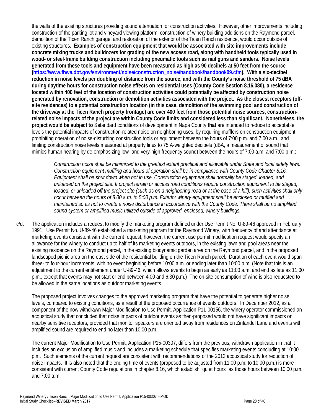the walls of the existing structures providing sound attenuation for construction activities. However, other improvements including construction of the parking lot and vineyard viewing platform, construction of winery building additions on the Raymond parcel, demolition of the Ticen Ranch garage, and restoration of the exterior of the Ticen Ranch residence, would occur outside of existing structures. **Examples of construction equipment that would be associated with site improvements include concrete mixing trucks and bulldozers for grading of the new access road, along with handheld tools typically used in wood- or steel-frame building construction including pneumatic tools such as nail guns and sanders. Noise levels generated from these tools and equipment have been measured as high as 90 decibels at 50 feet from the source (https://www.fhwa.dot.gov/environment/noise/construction\_noise/handbook/handbook09.cfm). With a six-decibel reduction in noise levels per doubling of distance from the source, and with the County's noise threshold of 75 dBA during daytime hours for construction noise effects on residential uses (County Code Section 8.16.080), a residence located within 400 feet of the location of construction activities could potentially be affected by construction noise generated by renovation, construction or demolition activities associated with the project. As the closest receptors (offsite residences) to a potential construction location (in this case, demolition of the swimming pool and construction of the driveway at the Ticen Ranch property frontage) are over 400 feet from those potential noise sources, constructionrelated noise impacts of the project are within County Code limits and considered less than significant. Nonetheless, the project would be subject to** S**s**tandard conditions of development in Napa County **that** are intended to reduce to acceptable levels the potential impacts of construction-related noise on neighboring uses, by requiring mufflers on construction equipment, prohibiting operation of noise-disturbing construction tools or equipment between the hours of 7:00 p.m. and 7:00 a.m., and limiting construction noise levels measured at property lines to 75 A-weighted decibels (dBA, a measurement of sound that mimics human hearing by de-emphasizing low- and very-high frequency sound) between the hours of 7:00 a.m. and 7:00 p.m.:

*Construction noise shall be minimized to the greatest extent practical and allowable under State and local safety laws. Construction equipment muffling and hours of operation shall be in compliance with County Code Chapter 8.16. Equipment shall be shut down when not in use. Construction equipment shall normally be staged, loaded, and unloaded on the project site. If project terrain or access road conditions require construction equipment to be staged, loaded, or unloaded off the project site (such as on a neighboring road or at the base of a hill), such activities shall only occur between the hours of 8:00 a.m. to 5:00 p.m. Exterior winery equipment shall be enclosed or muffled and maintained so as not to create a noise disturbance in accordance with the County Code. There shall be no amplified sound system or amplified music utilized outside of approved, enclosed, winery buildings.*

c/d. The application includes a request to modify the marketing program defined under Use Permit No. U-89-46 approved in February 1991. Use Permit No. U-89-46 established a marketing program for the Raymond Winery, with frequency of and attendance at marketing events consistent with the current request; however, the current use permit modification request would specify an allowance for the winery to conduct up to half of its marketing events outdoors, in the existing lawn and pool areas near the existing residence on the Raymond parcel, in the existing biodynamic garden area on the Raymond parcel, and in the proposed landscaped picnic area on the east side of the residential building on the Ticen Ranch parcel. Duration of each event would span three- to four-hour increments, with no event beginning before 10:00 a.m. or ending later than 10:00 p.m. (Note that this is an adjustment to the current entitlement under U-89-46, which allows events to begin as early as 11:00 a.m. and end as late as 11:00 p.m., except that events may not start or end between 4:00 and 6:30 p.m.) The on-site consumption of wine is also requested to be allowed in the same locations as outdoor marketing events.

The proposed project involves changes to the approved marketing program that have the potential to generate higher noise levels, compared to existing conditions, as a result of the proposed occurrence of events outdoors. In December 2012, as a component of the now withdrawn Major Modification to Use Permit, Application P11-00156, the winery operator commissioned an acoustical study that concluded that noise impacts of outdoor events as then-proposed would not have significant impacts on nearby sensitive receptors, provided that monitor speakers are oriented away from residences on Zinfandel Lane and events with amplified sound are required to end no later than 10:00 p.m.

The current Major Modification to Use Permit, Application P15-00307, differs from the previous, withdrawn application in that it includes an exclusion of amplified music and includes a marketing schedule that specifies marketing events concluding at 10:00 p.m. Such elements of the current request are consistent with recommendations of the 2012 acoustical study for reduction of noise impacts. It is also noted that the ending time of events (proposed to be adjusted from 11:00 p.m. to 10:00 p.m.) is more consistent with current County Code regulations in chapter 8.16, which establish "quiet hours" as those hours between 10:00 p.m. and 7:00 a.m.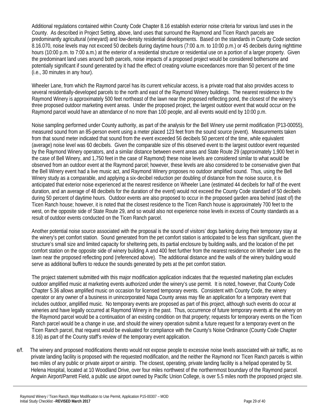Additional regulations contained within County Code Chapter 8.16 establish exterior noise criteria for various land uses in the County. As described in Project Setting, above, land uses that surround the Raymond and Ticen Ranch parcels are predominantly agricultural (vineyard) and low-density residential developments. Based on the standards in County Code section 8.16.070, noise levels may not exceed 50 decibels during daytime hours (7:00 a.m. to 10:00 p.m.) or 45 decibels during nighttime hours (10:00 p.m. to 7:00 a.m.) at the exterior of a residential structure or residential use on a portion of a larger property. Given the predominant land uses around both parcels, noise impacts of a proposed project would be considered bothersome and potentially significant if sound generated by it had the effect of creating volume exceedances more than 50 percent of the time (i.e., 30 minutes in any hour).

Wheeler Lane, from which the Raymond parcel has its current vehicular access, is a private road that also provides access to several residentially-developed parcels to the north and east of the Raymond Winery buildings. The nearest residence to the Raymond Winery is approximately 500 feet northeast of the lawn near the proposed reflecting pond, the closest of the winery's three proposed outdoor marketing event areas. Under the proposed project, the largest outdoor event that would occur on the Raymond parcel would have an attendance of no more than 100 people, and all events would end by 10:00 p.m.

Noise sampling performed under County authority, as part of the analysis for the Bell Winery use permit modification (P13-00055), measured sound from an 85-person event using a meter placed 123 feet from the sound source (event). Measurements taken from that sound meter indicated that sound from the event exceeded 56 decibels 50 percent of the time, while equivalent (average) noise level was 60 decibels. Given the comparable size of this observed event to the largest outdoor event requested by the Raymond Winery operators, and a similar distance between event areas and State Route 29 (approximately 1,900 feet in the case of Bell Winery, and 1,750 feet in the case of Raymond) these noise levels are considered similar to what would be observed from an outdoor event at the Raymond parcel; however, these levels are also considered to be conservative given that the Bell Winery event had a live music act, and Raymond Winery proposes no outdoor amplified sound. Thus, using the Bell Winery study as a comparable, and applying a six-decibel reduction per doubling of distance from the noise source, it is anticipated that exterior noise experienced at the nearest residence on Wheeler Lane (estimated 44 decibels for half of the event duration, and an average of 48 decibels for the duration of the event) would not exceed the County Code standard of 50 decibels during 50 percent of daytime hours. Outdoor events are also proposed to occur in the proposed garden area behind (east of) the Ticen Ranch house; however, it is noted that the closest residence to the Ticen Ranch house is approximately 700 feet to the west, on the opposite side of State Route 29, and so would also not experience noise levels in excess of County standards as a result of outdoor events conducted on the Ticen Ranch parcel.

Another potential noise source associated with the proposal is the sound of visitors' dogs barking during their temporary stay at the winery's pet comfort station. Sound generated from the pet comfort station is anticipated to be less than significant, given the structure's small size and limited capacity for sheltering pets, its partial enclosure by building walls, and the location of the pet comfort station on the opposite side of winery building A and 400 feet further from the nearest residence on Wheeler Lane as the lawn near the proposed reflecting pond (referenced above). The additional distance and the walls of the winery building would serve as additional buffers to reduce the sounds generated by pets at the pet comfort station.

The project statement submitted with this major modification application indicates that the requested marketing plan excludes outdoor amplified music at marketing events authorized under the winery's use permit. It is noted, however, that County Code Chapter 5.36 allows amplified music on occasion for licensed temporary events. Consistent with County Code, the winery operator or any owner of a business in unincorporated Napa County areas may file an application for a temporary event that includes outdoor, amplified music. No temporary events are proposed as part of this project, although such events do occur at wineries and have legally occurred at Raymond Winery in the past. Thus, occurrence of future temporary events at the winery on the Raymond parcel would be a continuation of an existing condition on that property; requests for temporary events on the Ticen Ranch parcel would be a change in use, and should the winery operation submit a future request for a temporary event on the Ticen Ranch parcel, that request would be evaluated for compliance with the County's Noise Ordinance (County Code Chapter 8.16) as part of the County staff's review of the temporary event application.

e/f. The winery and proposed modifications thereto would not expose people to excessive noise levels associated with air traffic, as no private landing facility is proposed with the requested modification, and the neither the Raymond nor Ticen Ranch parcels is within two miles of any public or private airport or airstrip. The closest, operating, private landing facility is a helipad operated by St. Helena Hospital, located at 10 Woodland Drive, over four miles northwest of the northernmost boundary of the Raymond parcel. Angwin Airport/Parrett Field, a public use airport owned by Pacific Union College, is over 5.5 miles north the proposed project site.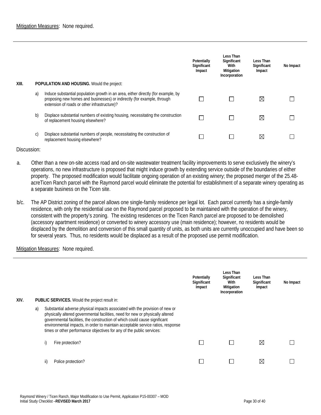| XIII. |    | <b>POPULATION AND HOUSING.</b> Would the project:                                                                                                                                                            | Potentially<br>Significant<br>Impact | Less Than<br>Significant<br>With<br>Mitigation<br>Incorporation | Less Than<br>Significant<br>Impact | No Impact |
|-------|----|--------------------------------------------------------------------------------------------------------------------------------------------------------------------------------------------------------------|--------------------------------------|-----------------------------------------------------------------|------------------------------------|-----------|
|       | a) | Induce substantial population growth in an area, either directly (for example, by<br>proposing new homes and businesses) or indirectly (for example, through<br>extension of roads or other infrastructure)? |                                      |                                                                 | ⊠                                  |           |
|       | b) | Displace substantial numbers of existing housing, necessitating the construction<br>of replacement housing elsewhere?                                                                                        |                                      |                                                                 | ⊠                                  |           |
|       | C) | Displace substantial numbers of people, necessitating the construction of<br>replacement housing elsewhere?                                                                                                  |                                      |                                                                 | ⊠                                  |           |

- a. Other than a new on-site access road and on-site wastewater treatment facility improvements to serve exclusively the winery's operations, no new infrastructure is proposed that might induce growth by extending service outside of the boundaries of either property. The proposed modification would facilitate ongoing operation of an existing winery; the proposed merger of the 25.48 acreTicen Ranch parcel with the Raymond parcel would eliminate the potential for establishment of a separate winery operating as a separate business on the Ticen site.
- b/c. The AP District zoning of the parcel allows one single-family residence per legal lot. Each parcel currently has a single-family residence, with only the residential use on the Raymond parcel proposed to be maintained with the operation of the winery, consistent with the property's zoning. The existing residences on the Ticen Ranch parcel are proposed to be demolished (accessory apartment residence) or converted to winery accessory use (main residence); however, no residents would be displaced by the demolition and conversion of this small quantity of units, as both units are currently unoccupied and have been so for several years. Thus, no residents would be displaced as a result of the proposed use permit modification.

#### Mitigation Measures: None required.

| XIV. |    |     | <b>PUBLIC SERVICES.</b> Would the project result in:                                                                                                                                                                                                                                                                                                                                                     | Potentially<br>Significant<br>Impact | Less Than<br>Significant<br>With<br>Mitigation<br>Incorporation | Less Than<br>Significant<br>Impact | No Impact |
|------|----|-----|----------------------------------------------------------------------------------------------------------------------------------------------------------------------------------------------------------------------------------------------------------------------------------------------------------------------------------------------------------------------------------------------------------|--------------------------------------|-----------------------------------------------------------------|------------------------------------|-----------|
|      | a) |     | Substantial adverse physical impacts associated with the provision of new or<br>physically altered governmental facilities, need for new or physically altered<br>governmental facilities, the construction of which could cause significant<br>environmental impacts, in order to maintain acceptable service ratios, response<br>times or other performance objectives for any of the public services: |                                      |                                                                 |                                    |           |
|      |    | i)  | Fire protection?                                                                                                                                                                                                                                                                                                                                                                                         |                                      |                                                                 | ⊠                                  |           |
|      |    | ii) | Police protection?                                                                                                                                                                                                                                                                                                                                                                                       |                                      |                                                                 | Χ                                  |           |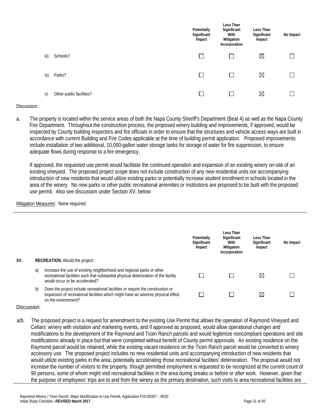|      |                          | Potentially<br>Significant<br>Impact | Less Than<br>Significant<br>With<br>Mitigation<br>Incorporation | Less Than<br>Significant<br>Impact | No Impact |
|------|--------------------------|--------------------------------------|-----------------------------------------------------------------|------------------------------------|-----------|
| iii) | Schools?                 |                                      |                                                                 | ⊠                                  |           |
| iv)  | Parks?                   | $\blacksquare$                       |                                                                 | ⊠                                  |           |
| V)   | Other public facilities? |                                      |                                                                 | ⊠                                  |           |

a. The property is located within the service areas of both the Napa County Sheriff's Department (Beat 4) as well as the Napa County Fire Department. Throughout the construction process, the proposed winery building and improvements, if approved, would be inspected by County building inspectors and fire officials in order to ensure that the structures and vehicle access ways are built in accordance with current Building and Fire Codes applicable at the time of building permit application. Proposed improvements include installation of two additional, 10,000-gallon water storage tanks for storage of water for fire suppression, to ensure adequate flows during response to a fire emergency.

If approved, the requested use permit would facilitate the continued operation and expansion of an existing winery on-site of an existing vineyard. The proposed project scope does not include construction of any new residential units nor accompanying introduction of new residents that would utilize existing parks or potentially increase student enrollment in schools located in the area of the winery. No new parks or other public recreational amenities or institutions are proposed to be built with the proposed use permit. Also see discussion under Section XV, below.

#### Mitigation Measures: None required.

|     |    |                                                                                                                                                                                                 | Potentially<br>Significant<br>Impact | Less Than<br>Significant<br>With<br>Mitigation<br>Incorporation | Less Than<br>Significant<br>Impact | No Impact |
|-----|----|-------------------------------------------------------------------------------------------------------------------------------------------------------------------------------------------------|--------------------------------------|-----------------------------------------------------------------|------------------------------------|-----------|
| XV. |    | <b>RECREATION.</b> Would the project:                                                                                                                                                           |                                      |                                                                 |                                    |           |
|     | a) | Increase the use of existing neighborhood and regional parks or other<br>recreational facilities such that substantial physical deterioration of the facility<br>would occur or be accelerated? |                                      |                                                                 | ⊠                                  |           |
|     | b) | Does the project include recreational facilities or require the construction or<br>expansion of recreational facilities which might have an adverse physical effect<br>on the environment?      |                                      |                                                                 | ⊠                                  |           |

#### Discussion:

a/b. The proposed project is a request for amendment to the existing Use Permit that allows the operation of Raymond Vineyard and Cellars' winery with visitation and marketing events, and if approved as proposed, would allow operational changes and modifications to the development of the Raymond and Ticen Ranch parcels and would legitimize noncompliant operations and site modifications already in place but that were completed without benefit of County permit approvals. An existing residence on the Raymond parcel would be retained, while the existing vacant residence on the Ticen Ranch parcel would be converted to winery accessory use. The proposed project includes no new residential units and accompanying introduction of new residents that would utilize existing parks in the area, potentially accelerating those recreational facilities' deterioration. The proposal would not increase the number of visitors to the property, though permitted employment is requested to be recognized at the current count of 90 persons, some of whom might visit recreational facilities in the area during breaks or before or after work. However, given that the purpose of employees' trips are to and from the winery as the primary destination, such visits to area recreational facilities are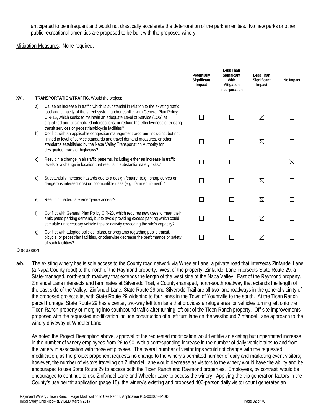anticipated to be infrequent and would not drastically accelerate the deterioration of the park amenities. No new parks or other public recreational amenities are proposed to be built with the proposed winery.

#### **Mitigation Measures: None required.**

| XVI. |              |                                                                                                                                                                                                                                                                                                                                                                                               | Potentially<br>Significant<br>Impact | <b>Less Than</b><br>Significant<br>With<br>Mitigation<br>Incorporation | Less Than<br>Significant<br>Impact | No Impact   |
|------|--------------|-----------------------------------------------------------------------------------------------------------------------------------------------------------------------------------------------------------------------------------------------------------------------------------------------------------------------------------------------------------------------------------------------|--------------------------------------|------------------------------------------------------------------------|------------------------------------|-------------|
|      | a)           | TRANSPORTATION/TRAFFIC. Would the project:                                                                                                                                                                                                                                                                                                                                                    |                                      |                                                                        |                                    |             |
|      |              | Cause an increase in traffic which is substantial in relation to the existing traffic<br>load and capacity of the street system and/or conflict with General Plan Policy<br>CIR-16, which seeks to maintain an adequate Level of Service (LOS) at<br>signalized and unsignalized intersections, or reduce the effectiveness of existing<br>transit services or pedestrian/bicycle facilities? |                                      |                                                                        | ⊠                                  |             |
|      | b)           | Conflict with an applicable congestion management program, including, but not<br>limited to level of service standards and travel demand measures, or other<br>standards established by the Napa Valley Transportation Authority for<br>designated roads or highways?                                                                                                                         |                                      |                                                                        | ⊠                                  |             |
|      | $\mathsf{C}$ | Result in a change in air traffic patterns, including either an increase in traffic<br>levels or a change in location that results in substantial safety risks?                                                                                                                                                                                                                               |                                      |                                                                        |                                    | $\boxtimes$ |
|      | d)           | Substantially increase hazards due to a design feature, (e.g., sharp curves or<br>dangerous intersections) or incompatible uses (e.g., farm equipment)?                                                                                                                                                                                                                                       |                                      | П                                                                      | ⊠                                  |             |
|      | $\epsilon$   | Result in inadequate emergency access?                                                                                                                                                                                                                                                                                                                                                        |                                      |                                                                        | ⊠                                  |             |
|      | f)           | Conflict with General Plan Policy CIR-23, which requires new uses to meet their<br>anticipated parking demand, but to avoid providing excess parking which could<br>stimulate unnecessary vehicle trips or activity exceeding the site's capacity?                                                                                                                                            |                                      |                                                                        | ⊠                                  |             |
|      | g)           | Conflict with adopted policies, plans, or programs regarding public transit,<br>bicycle, or pedestrian facilities, or otherwise decrease the performance or safety<br>of such facilities?                                                                                                                                                                                                     |                                      |                                                                        | ⊠                                  |             |

#### Discussion:

a/b. The existing winery has is sole access to the County road network via Wheeler Lane, a private road that intersects Zinfandel Lane (a Napa County road) to the north of the Raymond property. West of the property, Zinfandel Lane intersects State Route 29, a State-managed, north-south roadway that extends the length of the west side of the Napa Valley. East of the Raymond property, Zinfandel Lane intersects and terminates at Silverado Trail, a County-managed, north-south roadway that extends the length of the east side of the Valley. Zinfandel Lane, State Route 29 and Silverado Trail are all two-lane roadways in the general vicinity of the proposed project site, with State Route 29 widening to four lanes in the Town of Yountville to the south. At the Ticen Ranch parcel frontage, State Route 29 has a center, two-way left turn lane that provides a refuge area for vehicles turning left onto the Ticen Ranch property or merging into southbound traffic after turning left out of the Ticen Ranch property. Off-site improvements proposed with the requested modification include construction of a left turn lane on the westbound Zinfandel Lane approach to the winery driveway at Wheeler Lane.

As noted the Project Description above, approval of the requested modification would entitle an existing but unpermitted increase in the number of winery employees from 26 to 90, with a corresponding increase in the number of daily vehicle trips to and from the winery in association with those employees. The overall number of visitor trips would not change with the requested modification, as the project proponent requests no change to the winery's permitted number of daily and marketing event visitors; however, the number of visitors traveling on Zinfandel Lane would decrease as visitors to the winery would have the ability and be encouraged to use State Route 29 to access both the Ticen Ranch and Raymond properties. Employees, by contrast, would be encouraged to continue to use Zinfandel Lane and Wheeler Lane to access the winery. Applying the trip generation factors in the County's use permit application (page 15), the winery's existing and proposed 400-person daily visitor count generates an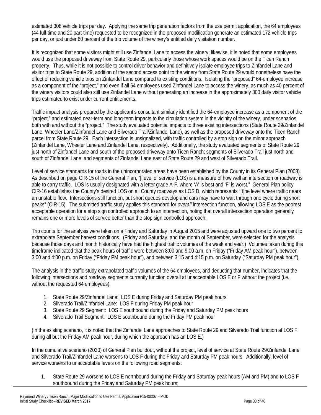estimated 308 vehicle trips per day. Applying the same trip generation factors from the use permit application, the 64 employees (44 full-time and 20 part-time) requested to be recognized in the proposed modification generate an estimated 172 vehicle trips per day, or just under 60 percent of the trip volume of the winery's entitled daily visitation number.

It is recognized that some visitors might still use Zinfandel Lane to access the winery; likewise, it is noted that some employees would use the proposed driveway from State Route 29, particularly those whose work spaces would be on the Ticen Ranch property. Thus, while it is not possible to control driver behavior and definitively isolate employee trips to Zinfandel Lane and visitor trips to State Route 29, addition of the second access point to the winery from State Route 29 would nonetheless have the effect of reducing vehicle trips on Zinfandel Lane compared to existing conditions. Isolating the "proposed" 64-employee increase as a component of the "project," and even if all 64 employees used Zinfandel Lane to access the winery, as much as 40 percent of the winery visitors could also still use Zinfandel Lane without generating an increase in the approximately 300 daily visitor vehicle trips estimated to exist under current entitlements.

Traffic impact analysis prepared by the applicant's consultant similarly identified the 64-employee increase as a component of the "project," and estimated near-term and long-term impacts to the circulation system in the vicinity of the winery, under scenarios both with and without the "project." The study evaluated potential impacts to three existing intersections (State Route 29/Zinfandel Lane, Wheeler Lane/Zinfandel Lane and Silverado Trail/Zinfandel Lane), as well as the proposed driveway onto the Ticen Ranch parcel from State Route 29. Each intersection is unsignalized, with traffic controlled by a stop sign on the minor approach (Zinfandel Lane, Wheeler Lane and Zinfandel Lane, respectively). Additionally, the study evaluated segments of State Route 29 just north of Zinfandel Lane and south of the proposed driveway onto Ticen Ranch; segments of Silverado Trail just north and south of Zinfandel Lane; and segments of Zinfandel Lane east of State Route 29 and west of Silverado Trail.

Level of service standards for roads in the unincorporated areas have been established by the County in its General Plan (2008). As described on page CIR-15 of the General Plan, "[l]evel of service (LOS) is a measure of how well an intersection or roadway is able to carry traffic. LOS is usually designated with a letter grade A-F, where 'A' is best and 'F' is worst." General Plan policy CIR-16 establishes the County's desired LOS on all County roadways as LOS D, which represents "[t]he level where traffic nears an unstable flow. Intersections still function, but short queues develop and cars may have to wait through one cycle during short peaks" (CIR-15). The submitted traffic study applies this standard for *overall* intersection function, allowing LOS E as the poorest acceptable operation for a stop sign controlled approach to an intersection, noting that overall intersection operation generally remains one or more levels of service better than the stop sign controlled approach.

Trip counts for the analysis were taken on a Friday and Saturday in August 2015 and were adjusted upward one to two percent to extrapolate September harvest conditions. (Friday and Saturday, and the month of September, were selected for the analysis because those days and month historically have had the highest traffic volumes of the week and year.) Volumes taken during this timeframe indicated that the peak hours of traffic were between 8:00 and 9:00 a.m. on Friday ("Friday AM peak hour"), between 3:00 and 4:00 p.m. on Friday ("Friday PM peak hour"), and between 3:15 and 4:15 p.m. on Saturday ("Saturday PM peak hour").

The analysis in the traffic study extrapolated traffic volumes of the 64 employees, and deducting that number, indicates that the following intersections and roadway segments currently function overall at unacceptable LOS E or F without the project (i.e., without the requested 64 employees):

- 1. State Route 29/Zinfandel Lane: LOS E during Friday and Saturday PM peak hours
- 2. Silverado Trail/Zinfandel Lane: LOS F during Friday PM peak hour
- 3. State Route 29 Segment: LOS E southbound during the Friday and Saturday PM peak hours
- 4. Silverado Trail Segment: LOS E southbound during the Friday PM peak hour

(In the existing scenario, it is noted that the Zinfandel Lane approaches to State Route 29 and Silverado Trail function at LOS F during all but the Friday AM peak hour, during which the approach has an LOS E.)

In the cumulative scenario (2030) of General Plan buildout, without the project, level of service at State Route 29/Zinfandel Lane and Silverado Trail/Zinfandel Lane worsens to LOS F during the Friday and Saturday PM peak hours. Additionally, level of service worsens to unacceptable levels on the following road segments:

1. State Route 29 worsens to LOS E northbound during the Friday and Saturday peak hours (AM and PM) and to LOS F southbound during the Friday and Saturday PM peak hours;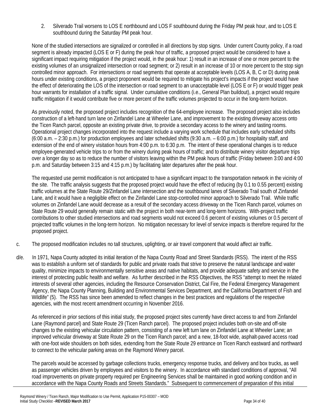2. Silverado Trail worsens to LOS E northbound and LOS F southbound during the Friday PM peak hour, and to LOS E southbound during the Saturday PM peak hour.

None of the studied intersections are signalized or controlled in all directions by stop signs. Under current County policy, if a road segment is already impacted (LOS E or F) during the peak hour of traffic, a proposed project would be considered to have a significant impact requiring mitigation if the project would, in the peak hour: 1) result in an increase of one or more percent to the existing volumes of an unsignalized intersection or road segment; or 2) result in an increase of 10 or more percent to the stop sign controlled minor approach. For intersections or road segments that operate at acceptable levels (LOS A, B, C or D) during peak hours under existing conditions, a project proponent would be required to mitigate his project's impacts if the project would have the effect of deteriorating the LOS of the intersection or road segment to an unacceptable level (LOS E or F) or would trigger peak hour warrants for installation of a traffic signal. Under cumulative conditions (i.e., General Plan buildout), a project would require traffic mitigation if it would contribute five or more percent of the traffic volumes projected to occur in the long-term horizon.

As previously noted, the proposed project includes recognition of the 64-employee increase. The proposed project also includes construction of a left-hand turn lane on Zinfandel Lane at Wheeler Lane, and improvement to the existing driveway access onto the Ticen Ranch parcel, opposite an existing private drive, to provide a secondary access to the winery and tasting rooms. Operational project changes incorporated into the request include a varying work schedule that includes early scheduled shifts (6:00 a.m. – 2:30 p.m.) for production employees and later scheduled shifts (9:30 a.m. – 6:00 p.m.) for hospitality staff, and extension of the end of winery visitation hours from 4:00 p.m. to 6:30 p.m. The intent of these operational changes is to reduce employee-generated vehicle trips to or from the winery during peak hours of traffic; and to distribute winery visitor departure trips over a longer day so as to reduce the number of visitors leaving within the PM peak hours of traffic (Friday between 3:00 and 4:00 p.m. and Saturday between 3:15 and 4:15 p.m.) by facilitating later departures after the peak hour.

The requested use permit modification is not anticipated to have a significant impact to the transportation network in the vicinity of the site. The traffic analysis suggests that the proposed project would have the effect of reducing (by 0.1 to 0.55 percent) existing traffic volumes at the State Route 29/Zinfandel Lane intersection and the southbound lanes of Silverado Trail south of Zinfandel Lane, and it would have a negligible effect on the Zinfandel Lane stop-controlled minor approach to Silverado Trail. While traffic volumes on Zinfandel Lane would decrease as a result of the secondary access driveway on the Ticen Ranch parcel, volumes on State Route 29 would generally remain static with the project in both near-term and long-term horizons. With-project traffic contributions to other studied intersections and road segments would not exceed 0.6 percent of existing volumes or 0.5 percent of projected traffic volumes in the long-term horizon. No mitigation necessary for level of service impacts is therefore required for the proposed project.

- c. The proposed modification includes no tall structures, uplighting, or air travel component that would affect air traffic.
- d/e. In 1971, Napa County adopted its initial iteration of the Napa County Road and Street Standards (RSS). The intent of the RSS was to establish a uniform set of standards for public and private roads that strive to preserve the natural landscape and water quality, minimize impacts to environmentally sensitive areas and native habitats, and provide adequate safety and service in the interest of protecting public health and welfare. As further described in the RSS Objectives, the RSS "attempt to meet the related interests of several other agencies, including the Resource Conservation District, Cal Fire, the Federal Emergency Management Agency, the Napa County Planning, Building and Environmental Services Department, and the California Department of Fish and Wildlife" (5). The RSS has since been amended to reflect changes in the best practices and regulations of the respective agencies, with the most recent amendment occurring in November 2016.

As referenced in prior sections of this initial study, the proposed project sites currently have direct access to and from Zinfandel Lane (Raymond parcel) and State Route 29 (Ticen Ranch parcel). The proposed project includes both on-site and off-site changes to the existing vehicular circulation pattern, consisting of a new left turn lane on Zinfandel Lane at Wheeler Lane; an improved vehicular driveway at State Route 29 on the Ticen Ranch parcel; and a new, 18-foot wide, asphalt-paved access road with one-foot wide shoulders on both sides, extending from the State Route 29 entrance on Ticen Ranch eastward and northward to connect to the vehicular parking areas on the Raymond Winery parcel.

The parcels would be accessed by garbage collections trucks, emergency response trucks, and delivery and box trucks, as well as passenger vehicles driven by employees and visitors to the winery. In accordance with standard conditions of approval, "All road improvements on private property required per Engineering Services shall be maintained in good working condition and in accordance with the Napa County Roads and Streets Standards." Subsequent to commencement of preparation of this initial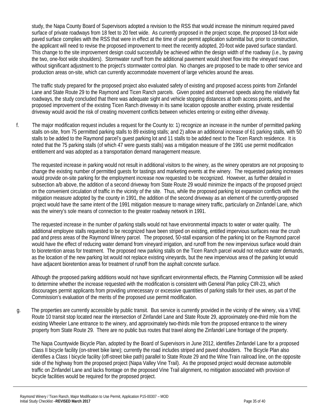study, the Napa County Board of Supervisors adopted a revision to the RSS that would increase the minimum required paved surface of private roadways from 18 feet to 20 feet wide. As currently proposed in the project scope, the proposed 18-foot wide paved surface complies with the RSS that were in effect at the time of use permit application submittal but, prior to construction, the applicant will need to revise the proposed improvement to meet the recently adopted, 20-foot wide paved surface standard. This change to the site improvement design could successfully be achieved within the design width of the roadway (i.e., by paving the two, one-foot wide shoulders). Stormwater runoff from the additional pavement would sheet flow into the vineyard rows without significant adjustment to the project's stormwater control plan. No changes are proposed to be made to other service and production areas on-site, which can currently accommodate movement of large vehicles around the areas.

The traffic study prepared for the proposed project also evaluated safety of existing and proposed access points from Zinfandel Lane and State Route 29 to the Raymond and Ticen Ranch parcels. Given posted and observed speeds along the relatively flat roadways, the study concluded that there was adequate sight and vehicle stopping distances at both access points, and the proposed improvement of the existing Ticen Ranch driveway in its same location opposite another existing, private residential driveway would avoid the risk of creating movement conflicts between vehicles entering or exiting either driveway.

f. The major modification request includes a request for the County to: 1) recognize an increase in the number of permitted parking stalls on-site, from 75 permitted parking stalls to 89 existing stalls; and 2) allow an additional increase of 61 parking stalls, with 50 stalls to be added to the Raymond parcel's guest parking lot and 11 stalls to be added next to the Ticen Ranch residence. It is noted that the 75 parking stalls (of which 47 were guests stalls) was a mitigation measure of the 1991 use permit modification entitlement and was adopted as a transportation demand management measure.

The requested increase in parking would not result in additional visitors to the winery, as the winery operators are not proposing to change the existing number of permitted guests for tastings and marketing events at the winery. The requested parking increases would provide on-site parking for the employment increase now requested to be recognized. However, as further detailed in subsection a/b above, the addition of a second driveway from State Route 29 would minimize the impacts of the proposed project on the convenient circulation of traffic in the vicinity of the site. Thus, while the proposed parking lot expansion conflicts with the mitigation measure adopted by the county in 1991, the addition of the second driveway as an element of the currently-proposed project would have the same intent of the 1991 mitigation measure to manage winery traffic, particularly on Zinfandel Lane, which was the winery's sole means of connection to the greater roadway network in 1991.

The requested increase in the number of parking stalls would not have environmental impacts to water or water quality. The additional employee stalls requested to be recognized have been striped on existing, entitled impervious surfaces near the crush pad and press areas of the Raymond Winery parcel. The proposed, 50-stall expansion of the parking lot on the Raymond parcel would have the effect of reducing water demand from vineyard irrigation, and runoff from the new impervious surface would drain to bioretention areas for treatment. The proposed new parking stalls on the Ticen Ranch parcel would not reduce water demands, as the location of the new parking lot would not replace existing vineyards, but the new impervious area of the parking lot would have adjacent bioretention areas for treatment of runoff from the asphalt concrete surface.

Although the proposed parking additions would not have significant environmental effects, the Planning Commission will be asked to determine whether the increase requested with the modification is consistent with General Plan policy CIR-23, which discourages permit applicants from providing unnecessary or excessive quantities of parking stalls for their uses, as part of the Commission's evaluation of the merits of the proposed use permit modification.

g. The properties are currently accessible by public transit. Bus service is currently provided in the vicinity of the winery, via a VINE Route 10 transit stop located near the intersection of Zinfandel Lane and State Route 29, approximately one-third mile from the existing Wheeler Lane entrance to the winery, and approximately two-thirds mile from the proposed entrance to the winery property from State Route 29. There are no public bus routes that travel along the Zinfandel Lane frontage of the property.

The Napa Countywide Bicycle Plan, adopted by the Board of Supervisors in June 2012, identifies Zinfandel Lane for a proposed Class II bicycle facility (on-street bike lane); currently the road includes striped and paved shoulders. The Bicycle Plan also identifies a Class I bicycle facility (off-street bike path) parallel to State Route 29 and the Wine Train railroad line, on the opposite side of the highway from the proposed project (Napa Valley Vine Trail). As the proposed project would decrease automobile traffic on Zinfandel Lane and lacks frontage on the proposed Vine Trail alignment, no mitigation associated with provision of bicycle facilities would be required for the proposed project.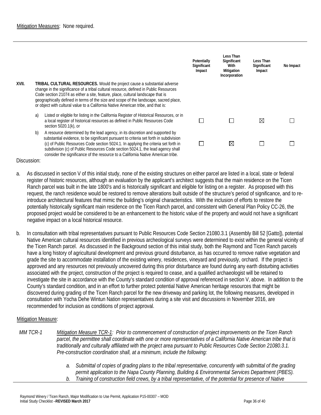|       |    |                                                                                                                                                                                                                                                                                                                                                                                                                                           | Potentially<br>Significant<br>Impact | Less Than<br>Significant<br>With<br>Mitigation<br>Incorporation | Less Than<br>Significant<br>Impact | No Impact |
|-------|----|-------------------------------------------------------------------------------------------------------------------------------------------------------------------------------------------------------------------------------------------------------------------------------------------------------------------------------------------------------------------------------------------------------------------------------------------|--------------------------------------|-----------------------------------------------------------------|------------------------------------|-----------|
| XVII. |    | <b>TRIBAL CULTURAL RESOURCES.</b> Would the project cause a substantial adverse<br>change in the significance of a tribal cultural resource, defined in Public Resources<br>Code section 21074 as either a site, feature, place, cultural landscape that is<br>geographically defined in terms of the size and scope of the landscape, sacred place,<br>or object with cultural value to a California Native American tribe, and that is: |                                      |                                                                 |                                    |           |
|       | a) | Listed or eligible for listing in the California Register of Historical Resources, or in<br>a local register of historical resources as defined in Public Resources Code<br>section 5020.1(k), or                                                                                                                                                                                                                                         |                                      |                                                                 | $\boxtimes$                        |           |
|       | b) | A resource determined by the lead agency, in its discretion and supported by<br>substantial evidence, to be significant pursuant to criteria set forth in subdivision<br>(c) of Public Resources Code section 5024.1. In applying the criteria set forth in<br>subdivision (c) of Public Resources Code section 5024.1, the lead agency shall<br>consider the significance of the resource to a California Native American tribe.         |                                      | ⊠                                                               |                                    |           |

- a. As discussed in section V of this initial study, none of the existing structures on either parcel are listed in a local, state or federal register of historic resources, although an evaluation by the applicant's architect suggests that the main residence on the Ticen Ranch parcel was built in the late 1800's and is historically significant and eligible for listing on a register. As proposed with this request, the ranch residence would be restored to remove alterations built outside of the structure's period of significance, and to reintroduce architectural features that mimic the building's original characteristics. With the inclusion of efforts to restore the potentially historically significant main residence on the Ticen Ranch parcel, and consistent with General Plan Policy CC-26, the proposed project would be considered to be an enhancement to the historic value of the property and would not have a significant negative impact on a local historical resource.
- b. In consultation with tribal representatives pursuant to Public Resources Code Section 21080.3.1 (Assembly Bill 52 [Gatto]), potential Native American cultural resources identified in previous archeological surveys were determined to exist within the general vicinity of the Ticen Ranch parcel. As discussed in the Background section of this initial study, both the Raymond and Ticen Ranch parcels have a long history of agricultural development and previous ground disturbance, as has occurred to remove native vegetation and grade the site to accommodate installation of the existing winery, residences, vineyard and previously, orchard. If the project is approved and any resources not previously uncovered during this prior disturbance are found during any earth disturbing activities associated with the project, construction of the project is required to cease, and a qualified archaeologist will be retained to investigate the site in accordance with the County's standard condition of approval referenced in section V, above. In addition to the County's standard condition, and in an effort to further protect potential Native American heritage resources that might be discovered during grading of the Ticen Ranch parcel for the new driveway and parking lot, the following measures, developed in consultation with Yocha Dehe Wintun Nation representatives during a site visit and discussions in November 2016, are recommended for inclusion as conditions of project approval.

#### Mitigation Measure:

- *MM TCR-1 Mitigation Measure TCR-1: Prior to commencement of construction of project improvements on the Ticen Ranch parcel, the permittee shall coordinate with one or more representatives of a California Native American tribe that is traditionally and culturally affiliated with the project area pursuant to Public Resources Code Section 21080.3.1. Pre-construction coordination shall, at a minimum, include the following:*
	- *a. Submittal of copies of grading plans to the tribal representative, concurrently with submittal of the grading permit application to the Napa County Planning, Building & Environmental Services Department (PBES). b. Training of construction field crews, by a tribal representative, of the potential for presence of Native*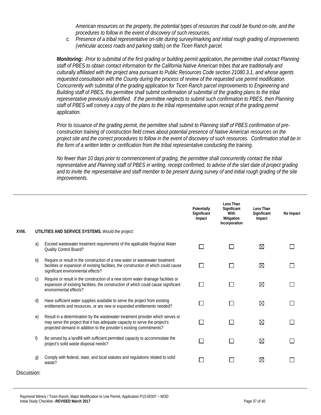*American resources on the property, the potential types of resources that could be found on-site, and the procedures to follow in the event of discovery of such resources.* 

*c. Presence of a tribal representative on-site during survey/marking and initial rough grading of improvements (vehicular access roads and parking stalls) on the Ticen Ranch parcel.*

*Monitoring: Prior to submittal of the first grading or building permit application, the permittee shall contact Planning staff of PBES to obtain contact information for the California Native American tribes that are traditionally and culturally affiliated with the project area pursuant to Public Resources Code section 21080.3.1, and whose agents requested consultation with the County during the process of review of the requested use permit modification. Concurrently with submittal of the grading application for Ticen Ranch parcel improvements to Engineering and Building staff of PBES, the permittee shall submit confirmation of submittal of the grading plans to the tribal representative previously identified. If the permittee neglects to submit such confirmation to PBES, then Planning staff of PBES will convey a copy of the plans to the tribal representative upon receipt of the grading permit application.*

*Prior to issuance of the grading permit, the permittee shall submit to Planning staff of PBES confirmation of preconstruction training of construction field crews about potential presence of Native American resources on the project site and the correct procedures to follow in the event of discovery of such resources. Confirmation shall be in the form of a written letter or certification from the tribal representative conducting the training.* 

*No fewer than 10 days prior to commencement of grading, the permittee shall concurrently contact the tribal representative and Planning staff of PBES in writing, receipt confirmed, to advise of the start date of project grading and to invite the representative and staff member to be present during survey of and initial rough grading of the site improvements.*

|        |                |                                                                                                                                                                                                                                      | Potentially<br>Significant<br>Impact | Less Than<br>Significant<br>With<br>Mitigation<br>Incorporation | Less Than<br>Significant<br>Impact | No Impact |
|--------|----------------|--------------------------------------------------------------------------------------------------------------------------------------------------------------------------------------------------------------------------------------|--------------------------------------|-----------------------------------------------------------------|------------------------------------|-----------|
| XVIII. |                | UTILITIES AND SERVICE SYSTEMS. Would the project:                                                                                                                                                                                    |                                      |                                                                 |                                    |           |
|        | a)             | Exceed wastewater treatment requirements of the applicable Regional Water<br>Quality Control Board?                                                                                                                                  |                                      |                                                                 | ⊠                                  |           |
|        | b)             | Require or result in the construction of a new water or wastewater treatment<br>facilities or expansion of existing facilities, the construction of which could cause<br>significant environmental effects?                          |                                      |                                                                 | ⊠                                  |           |
|        | C)             | Require or result in the construction of a new storm water drainage facilities or<br>expansion of existing facilities, the construction of which could cause significant<br>environmental effects?                                   | $\sim$                               |                                                                 | ⊠                                  |           |
|        | d)             | Have sufficient water supplies available to serve the project from existing<br>entitlements and resources, or are new or expanded entitlements needed?                                                                               |                                      |                                                                 | ⊠                                  |           |
|        | e)             | Result in a determination by the wastewater treatment provider which serves or<br>may serve the project that it has adequate capacity to serve the project's<br>projected demand in addition to the provider's existing commitments? |                                      |                                                                 | ⊠                                  |           |
|        | f)             | Be served by a landfill with sufficient permitted capacity to accommodate the<br>project's solid waste disposal needs?                                                                                                               |                                      |                                                                 | ⊠                                  |           |
|        | $\mathfrak{g}$ | Comply with federal, state, and local statutes and regulations related to solid<br>waste?                                                                                                                                            |                                      |                                                                 | ⊠                                  |           |

| Discussion: |  |
|-------------|--|
|             |  |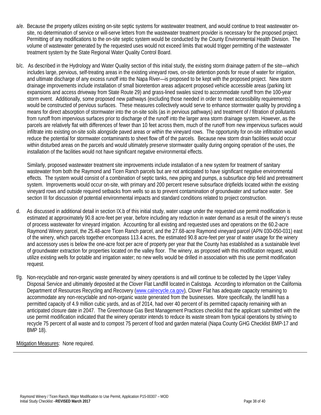- a/e. Because the property utilizes existing on-site septic systems for wastewater treatment, and would continue to treat wastewater onsite, no determination of service or will-serve letters from the wastewater treatment provider is necessary for the proposed project. Permitting of any modifications to the on-site septic system would be conducted by the County Environmental Health Division. The volume of wastewater generated by the requested uses would not exceed limits that would trigger permitting of the wastewater treatment system by the State Regional Water Quality Control Board.
- b/c. As described in the Hydrology and Water Quality section of this initial study, the existing storm drainage pattern of the site—which includes large, pervious, self-treating areas in the existing vineyard rows, on-site detention ponds for reuse of water for irrigation, and ultimate discharge of any excess runoff into the Napa River—is proposed to be kept with the proposed project. New storm drainage improvements include installation of small bioretention areas adjacent proposed vehicle accessible areas (parking lot expansions and access driveway from State Route 29) and grass-lined swales sized to accommodate runoff from the 100-year storm event. Additionally, some proposed new pathways (excluding those needed in order to meet accessibility requirements) would be constructed of pervious surfaces. These measures collectively would serve to enhance stormwater quality by providing a means for direct absorption of stormwater into the on-site soils (as in pervious pathways) and treatment of / filtration of pollutants from runoff from impervious surfaces prior to discharge of the runoff into the larger area storm drainage system. However, as the parcels are relatively flat with differences of fewer than 10 feet across them, much of the runoff from new impervious surfaces would infiltrate into existing on-site soils alongside paved areas or within the vineyard rows. The opportunity for on-site infiltration would reduce the potential for stormwater contaminants to sheet flow off of the parcels. Because new storm drain facilities would occur within disturbed areas on the parcels and would ultimately preserve stormwater quality during ongoing operation of the uses, the installation of the facilities would not have significant negative environmental effects.

Similarly, proposed wastewater treatment site improvements include installation of a new system for treatment of sanitary wastewater from both the Raymond and Ticen Ranch parcels but are not anticipated to have significant negative environmental effects. The system would consist of a combination of septic tanks, new piping and pumps, a subsurface drip field and pretreatment system. Improvements would occur on-site, with primary and 200 percent reserve subsurface dripfields located within the existing vineyard rows and outside required setbacks from wells so as to prevent contamination of groundwater and surface water. See section III for discussion of potential environmental impacts and standard conditions related to project construction.

- d. As discussed in additional detail in section IX.b of this initial study, water usage under the requested use permit modification is estimated at approximately 90.8 acre-feet per year, before including any reduction in water demand as a result of the winery's reuse of process wastewater for vineyard irrigation. Accounting for all existing and requested uses and operations on the 60.2-acre Raymond Winery parcel, the 25.48-acre Ticen Ranch parcel, and the 27.68-acre Raymond vineyard parcel (APN 030-050-031) east of the winery, which parcels together encompass 113.4 acres, the estimated 90.8 acre-feet per year of water usage for the winery and accessory uses is below the one-acre foot per acre of property per year that the County has established as a sustainable level of groundwater extraction for properties located on the valley floor. The winery, as proposed with this modification request, would utilize existing wells for potable and irrigation water; no new wells would be drilled in association with this use permit modification request.
- f/g. Non-recyclable and non-organic waste generated by winery operations is and will continue to be collected by the Upper Valley Disposal Service and ultimately deposited at the Clover Flat Landfill located in Calistoga. According to information on the California Department of Resources Recycling and Recovery (www.calrecycle.ca.gov), Clover Flat has adequate capacity remaining to accommodate any non-recyclable and non-organic waste generated from the businesses. More specifically, the landfill has a permitted capacity of 4.9 million cubic yards, and as of 2014, had over 40 percent of its permitted capacity remaining with an anticipated closure date in 2047. The Greenhouse Gas Best Management Practices checklist that the applicant submitted with the use permit modification indicated that the winery operator intends to reduce its waste stream from typical operations by striving to recycle 75 percent of all waste and to compost 75 percent of food and garden material (Napa County GHG Checklist BMP-17 and BMP 18).

Mitigation Measures: None required.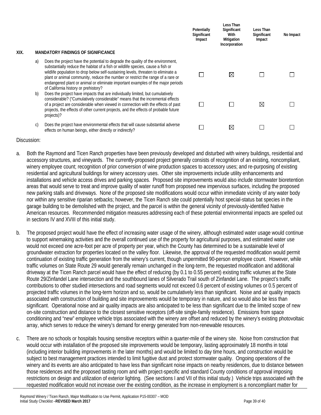|      |    |                                                                                                                                                                                                                                                                                                                                                                                                                                                                      | Potentially<br>Significant<br>Impact | Less Than<br>Significant<br>With<br>Mitigation<br>Incorporation | Less Than<br>Significant<br>Impact | No Impact |
|------|----|----------------------------------------------------------------------------------------------------------------------------------------------------------------------------------------------------------------------------------------------------------------------------------------------------------------------------------------------------------------------------------------------------------------------------------------------------------------------|--------------------------------------|-----------------------------------------------------------------|------------------------------------|-----------|
| XIX. |    | <b>MANDATORY FINDINGS OF SIGNIFICANCE</b>                                                                                                                                                                                                                                                                                                                                                                                                                            |                                      |                                                                 |                                    |           |
|      | a) | Does the project have the potential to degrade the quality of the environment,<br>substantially reduce the habitat of a fish or wildlife species, cause a fish or<br>wildlife population to drop below self-sustaining levels, threaten to eliminate a<br>plant or animal community, reduce the number or restrict the range of a rare or<br>endangered plant or animal or eliminate important examples of the major periods<br>of California history or prehistory? |                                      | $\boxtimes$                                                     |                                    |           |
|      | b) | Does the project have impacts that are individually limited, but cumulatively<br>considerable? ("Cumulatively considerable" means that the incremental effects<br>of a project are considerable when viewed in connection with the effects of past<br>projects, the effects of other current projects, and the effects of probable future<br>projects)?                                                                                                              |                                      |                                                                 | ⊠                                  |           |
|      | C) | Does the project have environmental effects that will cause substantial adverse<br>effects on human beings, either directly or indirectly?                                                                                                                                                                                                                                                                                                                           |                                      | $\boxtimes$                                                     |                                    |           |

- a. Both the Raymond and Ticen Ranch properties have been previously developed and disturbed with winery buildings, residential and accessory structures, and vineyards. The currently-proposed project generally consists of recognition of an existing, noncompliant, winery employee count; recognition of prior conversion of wine production spaces to accessory uses; and re-purposing of existing residential and agricultural buildings for winery accessory uses. Other site improvements include utility enhancements and installations and vehicle access drives and parking spaces. Proposed site improvements would also include stormwater bioretention areas that would serve to treat and improve quality of water runoff from proposed new impervious surfaces, including the proposed new parking stalls and driveways. None of the proposed site modifications would occur within immediate vicinity of any water body nor within any sensitive riparian setbacks; however, the Ticen Ranch site could potentially host special-status bat species in the garage building to be demolished with the project, and the parcel is within the general vicinity of previously-identified Native American resources. Recommended mitigation measures addressing each of these potential environmental impacts are spelled out in sections IV and XVIII of this initial study.
- b. The proposed project would have the effect of increasing water usage of the winery, although estimated water usage would continue to support winemaking activities and the overall continued use of the property for agricultural purposes, and estimated water use would not exceed one acre-foot per acre of property per year, which the County has determined to be a sustainable level of groundwater extraction for properties located on the valley floor. Likewise, the approval of the requested modification would permit continuation of existing traffic generation from the winery's current, though unpermitted 90-person employee count. However, while traffic volumes on State Route 29 would generally remain unchanged in the long-term, the requested modification and additional driveway at the Ticen Ranch parcel would have the effect of reducing (by 0.1 to 0.55 percent) existing traffic volumes at the State Route 29/Zinfandel Lane intersection and the southbound lanes of Silverado Trail south of Zinfandel Lane. The project's traffic contributions to other studied intersections and road segments would not exceed 0.6 percent of existing volumes or 0.5 percent of projected traffic volumes in the long-term horizon and so, would be cumulatively less than significant. Noise and air quality impacts associated with construction of building and site improvements would be temporary in nature, and so would also be less than significant. Operational noise and air quality impacts are also anticipated to be less than significant due to the limited scope of new on-site construction and distance to the closest sensitive receptors (off-site single-family residence). Emissions from space conditioning and "new" employee vehicle trips associated with the winery are offset and reduced by the winery's existing photovoltaic array, which serves to reduce the winery's demand for energy generated from non-renewable resources.
- c. There are no schools or hospitals housing sensitive receptors within a quarter-mile of the winery site. Noise from construction that would occur with installation of the proposed site improvements would be temporary, lasting approximately 18 months in total (including interior building improvements in the later months) and would be limited to day time hours, and construction would be subject to best management practices intended to limit fugitive dust and protect stormwater quality. Ongoing operations of the winery and its events are also anticipated to have less than significant noise impacts on nearby residences, due to distance between those residences and the proposed tasting room and with project-specific and standard County conditions of approval imposing restrictions on design and utilization of exterior lighting. (See sections I and VII of this initial study.) Vehicle trips associated with the requested modification would not increase over the existing condition, as the increase in employment is a noncompliant matter for